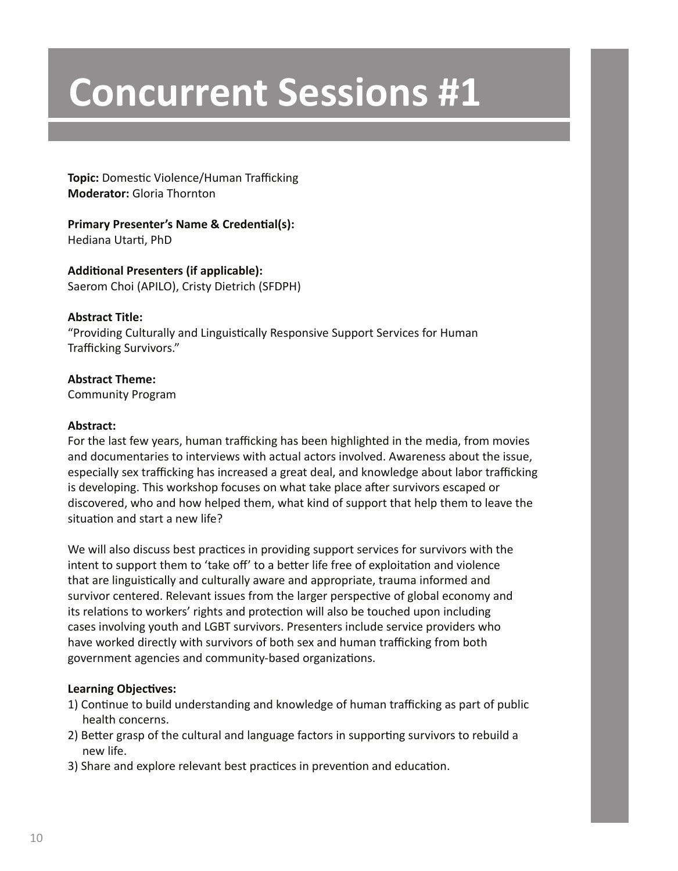**Topic:** Domestic Violence/Human Trafficking **Moderator:** Gloria Thornton

**Primary Presenter's Name & Credential(s):** Hediana Utarti, PhD

**Additional Presenters (if applicable):** Saerom Choi (APILO), Cristy Dietrich (SFDPH)

# **Abstract Title:**

"Providing Culturally and Linguistically Responsive Support Services for Human Trafficking Survivors."

# **Abstract Theme:**

Community Program

# **Abstract:**

For the last few years, human trafficking has been highlighted in the media, from movies and documentaries to interviews with actual actors involved. Awareness about the issue, especially sex trafficking has increased a great deal, and knowledge about labor trafficking is developing. This workshop focuses on what take place after survivors escaped or discovered, who and how helped them, what kind of support that help them to leave the situation and start a new life?

We will also discuss best practices in providing support services for survivors with the intent to support them to 'take off' to a better life free of exploitation and violence that are linguistically and culturally aware and appropriate, trauma informed and survivor centered. Relevant issues from the larger perspective of global economy and its relations to workers' rights and protection will also be touched upon including cases involving youth and LGBT survivors. Presenters include service providers who have worked directly with survivors of both sex and human trafficking from both government agencies and community-based organizations.

- 1) Continue to build understanding and knowledge of human trafficking as part of public health concerns.
- 2) Better grasp of the cultural and language factors in supporting survivors to rebuild a new life.
- 3) Share and explore relevant best practices in prevention and education.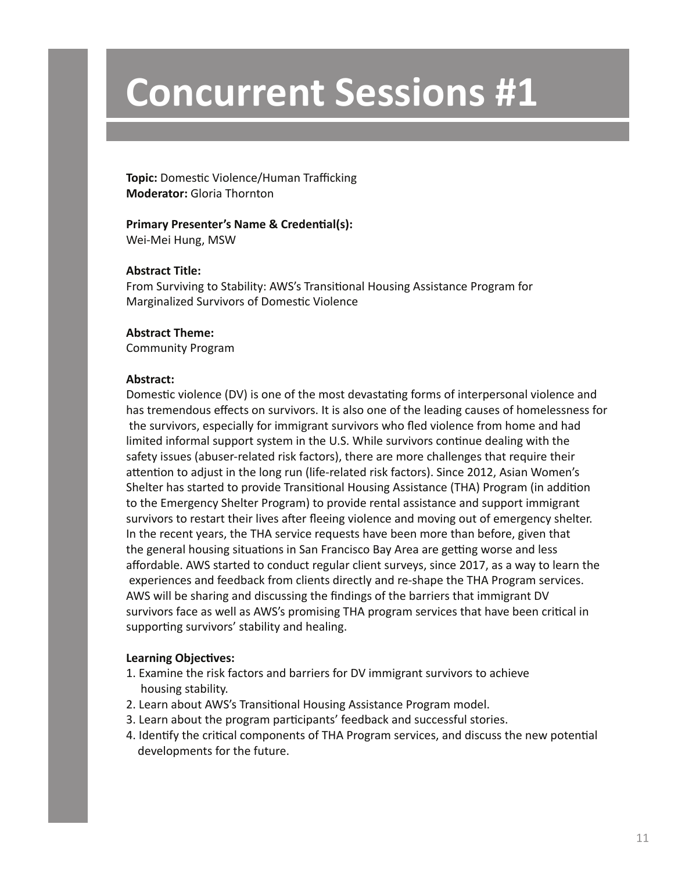**Topic:** Domestic Violence/Human Trafficking **Moderator:** Gloria Thornton

# **Primary Presenter's Name & Credential(s):**

Wei-Mei Hung, MSW

# **Abstract Title:**

From Surviving to Stability: AWS's Transitional Housing Assistance Program for Marginalized Survivors of Domestic Violence

# **Abstract Theme:**

Community Program

### **Abstract:**

Domestic violence (DV) is one of the most devastating forms of interpersonal violence and has tremendous effects on survivors. It is also one of the leading causes of homelessness for the survivors, especially for immigrant survivors who fled violence from home and had limited informal support system in the U.S. While survivors continue dealing with the safety issues (abuser-related risk factors), there are more challenges that require their attention to adjust in the long run (life-related risk factors). Since 2012, Asian Women's Shelter has started to provide Transitional Housing Assistance (THA) Program (in addition to the Emergency Shelter Program) to provide rental assistance and support immigrant survivors to restart their lives after fleeing violence and moving out of emergency shelter. In the recent years, the THA service requests have been more than before, given that the general housing situations in San Francisco Bay Area are getting worse and less affordable. AWS started to conduct regular client surveys, since 2017, as a way to learn the experiences and feedback from clients directly and re-shape the THA Program services. AWS will be sharing and discussing the findings of the barriers that immigrant DV survivors face as well as AWS's promising THA program services that have been critical in supporting survivors' stability and healing.

- 1. Examine the risk factors and barriers for DV immigrant survivors to achieve housing stability.
- 2. Learn about AWS's Transitional Housing Assistance Program model.
- 3. Learn about the program participants' feedback and successful stories.
- 4. Identify the critical components of THA Program services, and discuss the new potential developments for the future.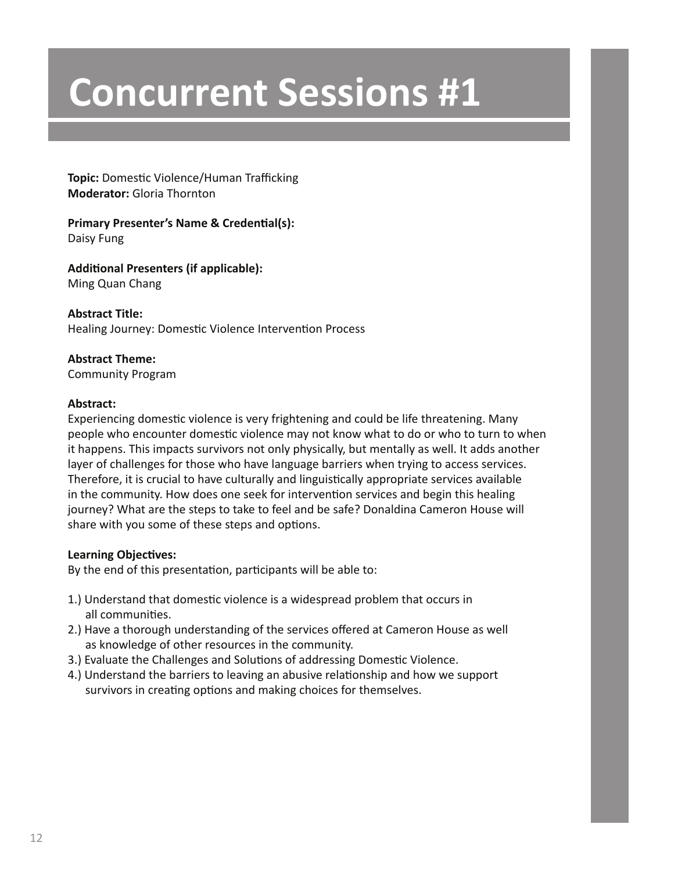**Topic:** Domestic Violence/Human Trafficking **Moderator:** Gloria Thornton

# **Primary Presenter's Name & Credential(s):** Daisy Fung

**Additional Presenters (if applicable):** Ming Quan Chang

**Abstract Title:** Healing Journey: Domestic Violence Intervention Process

# **Abstract Theme:**

Community Program

# **Abstract:**

Experiencing domestic violence is very frightening and could be life threatening. Many people who encounter domestic violence may not know what to do or who to turn to when it happens. This impacts survivors not only physically, but mentally as well. It adds another layer of challenges for those who have language barriers when trying to access services. Therefore, it is crucial to have culturally and linguistically appropriate services available in the community. How does one seek for intervention services and begin this healing journey? What are the steps to take to feel and be safe? Donaldina Cameron House will share with you some of these steps and options.

# **Learning Objectives:**

By the end of this presentation, participants will be able to:

- 1.) Understand that domestic violence is a widespread problem that occurs in all communities.
- 2.) Have a thorough understanding of the services offered at Cameron House as well as knowledge of other resources in the community.
- 3.) Evaluate the Challenges and Solutions of addressing Domestic Violence.
- 4.) Understand the barriers to leaving an abusive relationship and how we support survivors in creating options and making choices for themselves.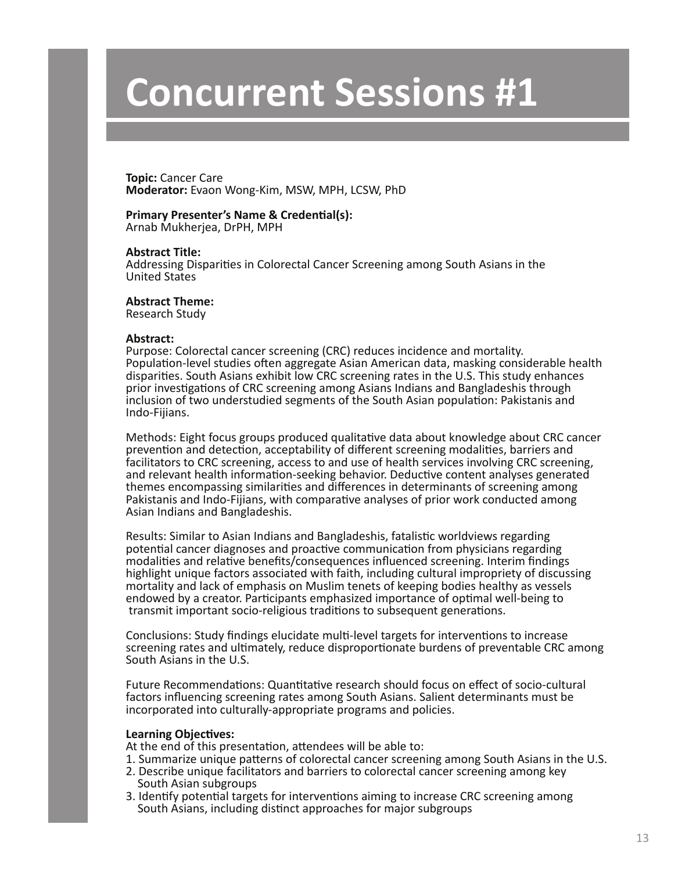**Topic:** Cancer Care **Moderator:** Evaon Wong-Kim, MSW, MPH, LCSW, PhD

# **Primary Presenter's Name & Credential(s):**

Arnab Mukherjea, DrPH, MPH

#### **Abstract Title:**

Addressing Disparities in Colorectal Cancer Screening among South Asians in the United States

#### **Abstract Theme:**

Research Study

#### **Abstract:**

Purpose: Colorectal cancer screening (CRC) reduces incidence and mortality. Population-level studies often aggregate Asian American data, masking considerable health disparities. South Asians exhibit low CRC screening rates in the U.S. This study enhances prior investigations of CRC screening among Asians Indians and Bangladeshis through inclusion of two understudied segments of the South Asian population: Pakistanis and Indo-Fijians.

Methods: Eight focus groups produced qualitative data about knowledge about CRC cancer prevention and detection, acceptability of different screening modalities, barriers and facilitators to CRC screening, access to and use of health services involving CRC screening, and relevant health information-seeking behavior. Deductive content analyses generated themes encompassing similarities and differences in determinants of screening among Pakistanis and Indo-Fijians, with comparative analyses of prior work conducted among Asian Indians and Bangladeshis.

Results: Similar to Asian Indians and Bangladeshis, fatalistic worldviews regarding potential cancer diagnoses and proactive communication from physicians regarding modalities and relative benefits/consequences influenced screening. Interim findings highlight unique factors associated with faith, including cultural impropriety of discussing mortality and lack of emphasis on Muslim tenets of keeping bodies healthy as vessels endowed by a creator. Participants emphasized importance of optimal well-being to transmit important socio-religious traditions to subsequent generations.

Conclusions: Study findings elucidate multi-level targets for interventions to increase screening rates and ultimately, reduce disproportionate burdens of preventable CRC among South Asians in the U.S.

Future Recommendations: Quantitative research should focus on effect of socio-cultural factors influencing screening rates among South Asians. Salient determinants must be incorporated into culturally-appropriate programs and policies.

#### **Learning Objectives:**

At the end of this presentation, attendees will be able to:

- 1. Summarize unique patterns of colorectal cancer screening among South Asians in the U.S.
- 2. Describe unique facilitators and barriers to colorectal cancer screening among key South Asian subgroups
- 3. Identify potential targets for interventions aiming to increase CRC screening among South Asians, including distinct approaches for major subgroups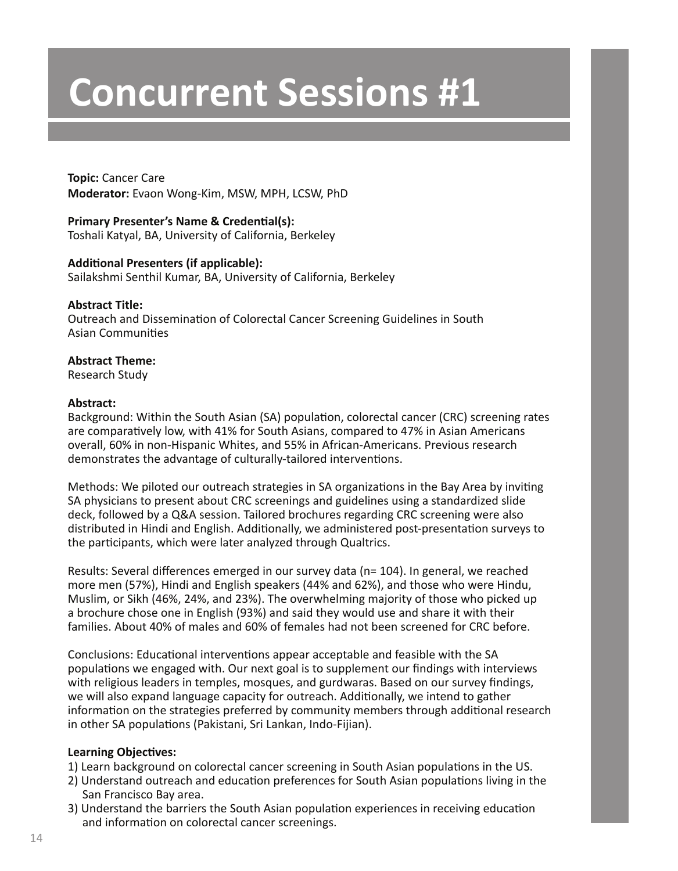**Topic:** Cancer Care **Moderator:** Evaon Wong-Kim, MSW, MPH, LCSW, PhD

# **Primary Presenter's Name & Credential(s):** Toshali Katyal, BA, University of California, Berkeley

### **Additional Presenters (if applicable):**

Sailakshmi Senthil Kumar, BA, University of California, Berkeley

# **Abstract Title:**

Outreach and Dissemination of Colorectal Cancer Screening Guidelines in South Asian Communities

# **Abstract Theme:**

Research Study

#### **Abstract:**

Background: Within the South Asian (SA) population, colorectal cancer (CRC) screening rates are comparatively low, with 41% for South Asians, compared to 47% in Asian Americans overall, 60% in non-Hispanic Whites, and 55% in African-Americans. Previous research demonstrates the advantage of culturally-tailored interventions.

Methods: We piloted our outreach strategies in SA organizations in the Bay Area by inviting SA physicians to present about CRC screenings and guidelines using a standardized slide deck, followed by a Q&A session. Tailored brochures regarding CRC screening were also distributed in Hindi and English. Additionally, we administered post-presentation surveys to the participants, which were later analyzed through Qualtrics.

Results: Several differences emerged in our survey data (n= 104). In general, we reached more men (57%), Hindi and English speakers (44% and 62%), and those who were Hindu, Muslim, or Sikh (46%, 24%, and 23%). The overwhelming majority of those who picked up a brochure chose one in English (93%) and said they would use and share it with their families. About 40% of males and 60% of females had not been screened for CRC before.

Conclusions: Educational interventions appear acceptable and feasible with the SA populations we engaged with. Our next goal is to supplement our findings with interviews with religious leaders in temples, mosques, and gurdwaras. Based on our survey findings, we will also expand language capacity for outreach. Additionally, we intend to gather information on the strategies preferred by community members through additional research in other SA populations (Pakistani, Sri Lankan, Indo-Fijian).

- 1) Learn background on colorectal cancer screening in South Asian populations in the US.
- 2) Understand outreach and education preferences for South Asian populations living in the San Francisco Bay area.
- 3) Understand the barriers the South Asian population experiences in receiving education and information on colorectal cancer screenings.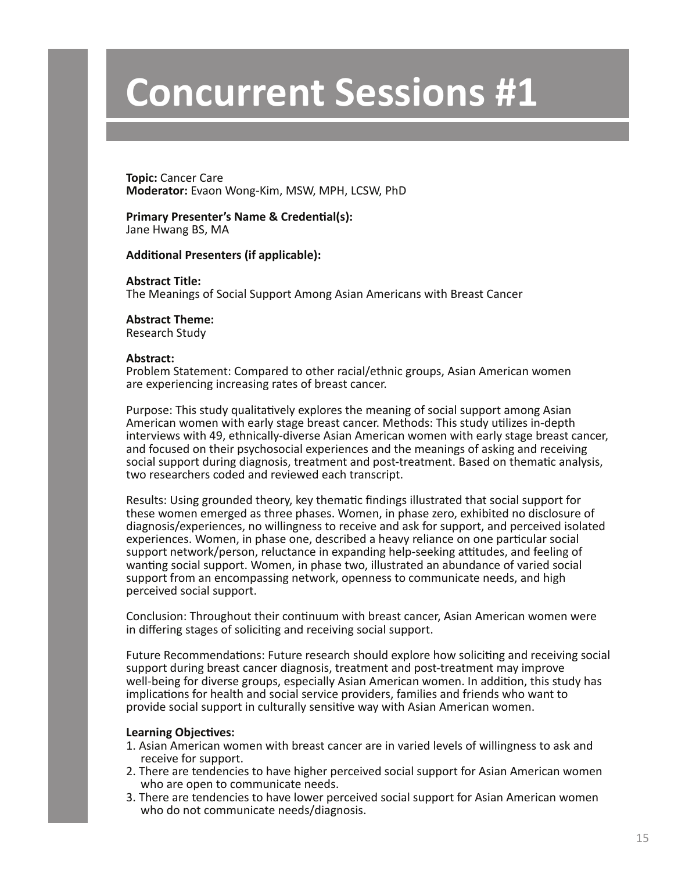**Topic:** Cancer Care **Moderator:** Evaon Wong-Kim, MSW, MPH, LCSW, PhD

**Primary Presenter's Name & Credential(s):** Jane Hwang BS, MA

**Additional Presenters (if applicable):**

**Abstract Title:** The Meanings of Social Support Among Asian Americans with Breast Cancer

**Abstract Theme:**

Research Study

#### **Abstract:**

Problem Statement: Compared to other racial/ethnic groups, Asian American women are experiencing increasing rates of breast cancer.

Purpose: This study qualitatively explores the meaning of social support among Asian American women with early stage breast cancer. Methods: This study utilizes in-depth interviews with 49, ethnically-diverse Asian American women with early stage breast cancer, and focused on their psychosocial experiences and the meanings of asking and receiving social support during diagnosis, treatment and post-treatment. Based on thematic analysis, two researchers coded and reviewed each transcript.

Results: Using grounded theory, key thematic findings illustrated that social support for these women emerged as three phases. Women, in phase zero, exhibited no disclosure of diagnosis/experiences, no willingness to receive and ask for support, and perceived isolated experiences. Women, in phase one, described a heavy reliance on one particular social support network/person, reluctance in expanding help-seeking attitudes, and feeling of wanting social support. Women, in phase two, illustrated an abundance of varied social support from an encompassing network, openness to communicate needs, and high perceived social support.

Conclusion: Throughout their continuum with breast cancer, Asian American women were in differing stages of soliciting and receiving social support.

Future Recommendations: Future research should explore how soliciting and receiving social support during breast cancer diagnosis, treatment and post-treatment may improve well-being for diverse groups, especially Asian American women. In addition, this study has implications for health and social service providers, families and friends who want to provide social support in culturally sensitive way with Asian American women.

- 1. Asian American women with breast cancer are in varied levels of willingness to ask and receive for support.
- 2. There are tendencies to have higher perceived social support for Asian American women who are open to communicate needs.
- 3. There are tendencies to have lower perceived social support for Asian American women who do not communicate needs/diagnosis.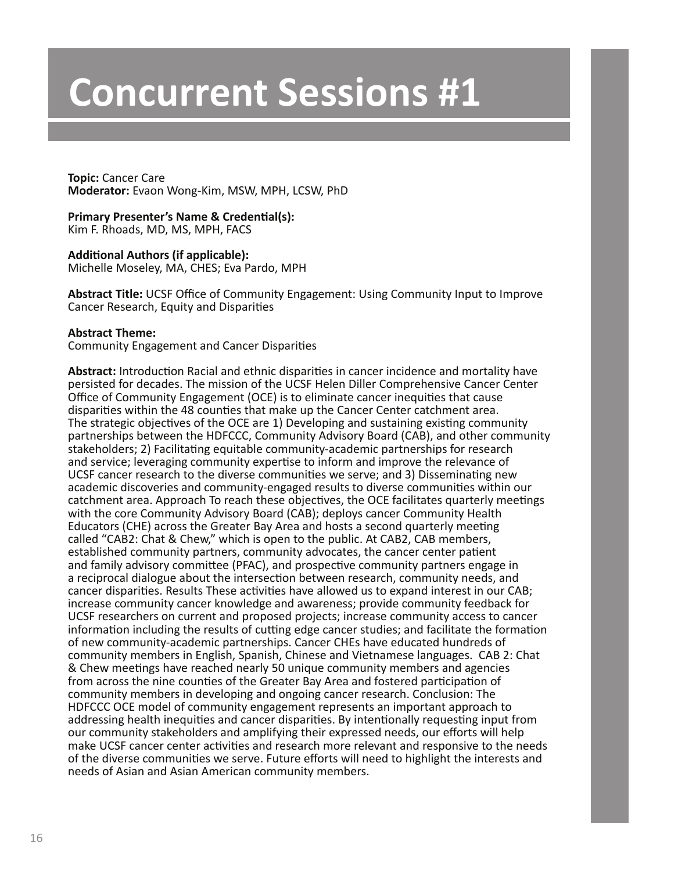**Topic:** Cancer Care **Moderator:** Evaon Wong-Kim, MSW, MPH, LCSW, PhD

### **Primary Presenter's Name & Credential(s):**

Kim F. Rhoads, MD, MS, MPH, FACS

### **Additional Authors (if applicable):**

Michelle Moseley, MA, CHES; Eva Pardo, MPH

**Abstract Title:** UCSF Office of Community Engagement: Using Community Input to Improve Cancer Research, Equity and Disparities

#### **Abstract Theme:**

Community Engagement and Cancer Disparities

**Abstract:** Introduction Racial and ethnic disparities in cancer incidence and mortality have persisted for decades. The mission of the UCSF Helen Diller Comprehensive Cancer Center Office of Community Engagement (OCE) is to eliminate cancer inequities that cause disparities within the 48 counties that make up the Cancer Center catchment area. The strategic objectives of the OCE are 1) Developing and sustaining existing community partnerships between the HDFCCC, Community Advisory Board (CAB), and other community stakeholders; 2) Facilitating equitable community-academic partnerships for research and service; leveraging community expertise to inform and improve the relevance of UCSF cancer research to the diverse communities we serve; and 3) Disseminating new academic discoveries and community-engaged results to diverse communities within our catchment area. Approach To reach these objectives, the OCE facilitates quarterly meetings with the core Community Advisory Board (CAB); deploys cancer Community Health Educators (CHE) across the Greater Bay Area and hosts a second quarterly meeting called "CAB2: Chat & Chew," which is open to the public. At CAB2, CAB members, established community partners, community advocates, the cancer center patient and family advisory committee (PFAC), and prospective community partners engage in a reciprocal dialogue about the intersection between research, community needs, and cancer disparities. Results These activities have allowed us to expand interest in our CAB; increase community cancer knowledge and awareness; provide community feedback for UCSF researchers on current and proposed projects; increase community access to cancer information including the results of cutting edge cancer studies; and facilitate the formation of new community-academic partnerships. Cancer CHEs have educated hundreds of community members in English, Spanish, Chinese and Vietnamese languages. CAB 2: Chat & Chew meetings have reached nearly 50 unique community members and agencies from across the nine counties of the Greater Bay Area and fostered participation of community members in developing and ongoing cancer research. Conclusion: The HDFCCC OCE model of community engagement represents an important approach to addressing health inequities and cancer disparities. By intentionally requesting input from our community stakeholders and amplifying their expressed needs, our efforts will help make UCSF cancer center activities and research more relevant and responsive to the needs of the diverse communities we serve. Future efforts will need to highlight the interests and needs of Asian and Asian American community members.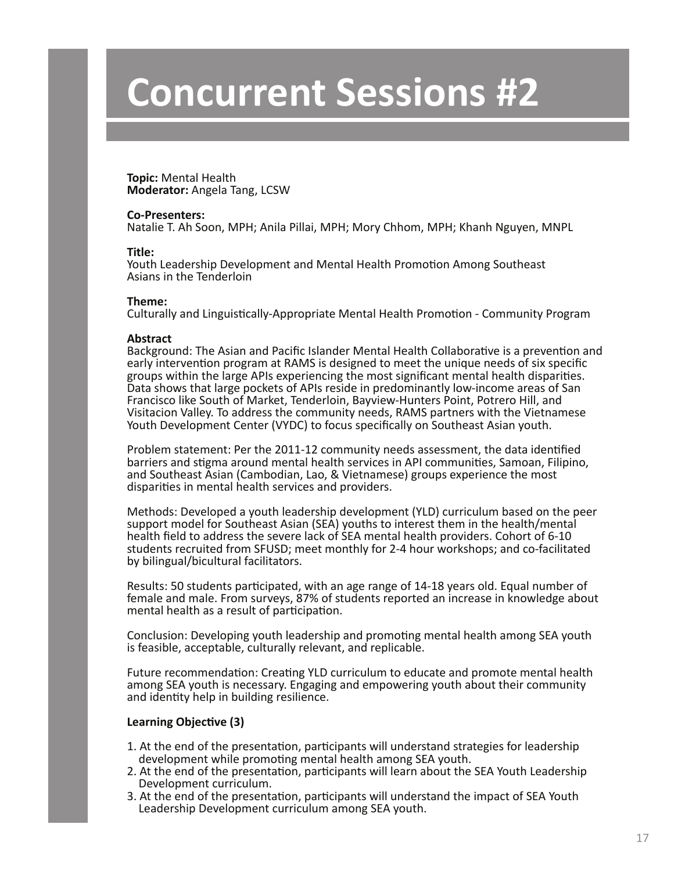**Topic:** Mental Health **Moderator:** Angela Tang, LCSW

#### **Co-Presenters:**

Natalie T. Ah Soon, MPH; Anila Pillai, MPH; Mory Chhom, MPH; Khanh Nguyen, MNPL

#### **Title:**

Youth Leadership Development and Mental Health Promotion Among Southeast Asians in the Tenderloin

#### **Theme:**

Culturally and Linguistically-Appropriate Mental Health Promotion - Community Program

#### **Abstract**

Background: The Asian and Pacific Islander Mental Health Collaborative is a prevention and early intervention program at RAMS is designed to meet the unique needs of six specific groups within the large APIs experiencing the most significant mental health disparities. Data shows that large pockets of APIs reside in predominantly low-income areas of San Francisco like South of Market, Tenderloin, Bayview-Hunters Point, Potrero Hill, and Visitacion Valley. To address the community needs, RAMS partners with the Vietnamese Youth Development Center (VYDC) to focus specifically on Southeast Asian youth.

Problem statement: Per the 2011-12 community needs assessment, the data identified barriers and stigma around mental health services in API communities, Samoan, Filipino, and Southeast Asian (Cambodian, Lao, & Vietnamese) groups experience the most disparities in mental health services and providers.

Methods: Developed a youth leadership development (YLD) curriculum based on the peer support model for Southeast Asian (SEA) youths to interest them in the health/mental health field to address the severe lack of SEA mental health providers. Cohort of 6-10 students recruited from SFUSD; meet monthly for 2-4 hour workshops; and co-facilitated by bilingual/bicultural facilitators.

Results: 50 students participated, with an age range of 14-18 years old. Equal number of female and male. From surveys, 87% of students reported an increase in knowledge about mental health as a result of participation.

Conclusion: Developing youth leadership and promoting mental health among SEA youth is feasible, acceptable, culturally relevant, and replicable.

Future recommendation: Creating YLD curriculum to educate and promote mental health among SEA youth is necessary. Engaging and empowering youth about their community and identity help in building resilience.

#### **Learning Objective (3)**

- 1. At the end of the presentation, participants will understand strategies for leadership development while promoting mental health among SEA youth.
- 2. At the end of the presentation, participants will learn about the SEA Youth Leadership Development curriculum.
- 3. At the end of the presentation, participants will understand the impact of SEA Youth Leadership Development curriculum among SEA youth.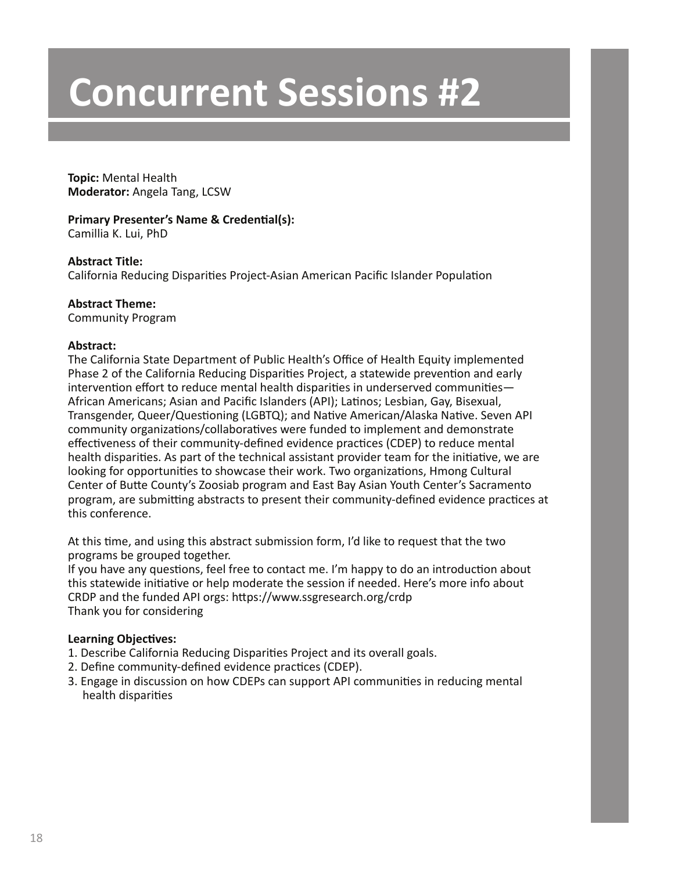**Topic:** Mental Health **Moderator:** Angela Tang, LCSW

# **Primary Presenter's Name & Credential(s):**

Camillia K. Lui, PhD

# **Abstract Title:**

California Reducing Disparities Project-Asian American Pacific Islander Population

# **Abstract Theme:**

Community Program

# **Abstract:**

The California State Department of Public Health's Office of Health Equity implemented Phase 2 of the California Reducing Disparities Project, a statewide prevention and early intervention effort to reduce mental health disparities in underserved communities— African Americans; Asian and Pacific Islanders (API); Latinos; Lesbian, Gay, Bisexual, Transgender, Queer/Questioning (LGBTQ); and Native American/Alaska Native. Seven API community organizations/collaboratives were funded to implement and demonstrate effectiveness of their community-defined evidence practices (CDEP) to reduce mental health disparities. As part of the technical assistant provider team for the initiative, we are looking for opportunities to showcase their work. Two organizations, Hmong Cultural Center of Butte County's Zoosiab program and East Bay Asian Youth Center's Sacramento program, are submitting abstracts to present their community-defined evidence practices at this conference.

At this time, and using this abstract submission form, I'd like to request that the two programs be grouped together.

If you have any questions, feel free to contact me. I'm happy to do an introduction about this statewide initiative or help moderate the session if needed. Here's more info about CRDP and the funded API orgs: https://www.ssgresearch.org/crdp Thank you for considering

- 1. Describe California Reducing Disparities Project and its overall goals.
- 2. Define community-defined evidence practices (CDEP).
- 3. Engage in discussion on how CDEPs can support API communities in reducing mental health disparities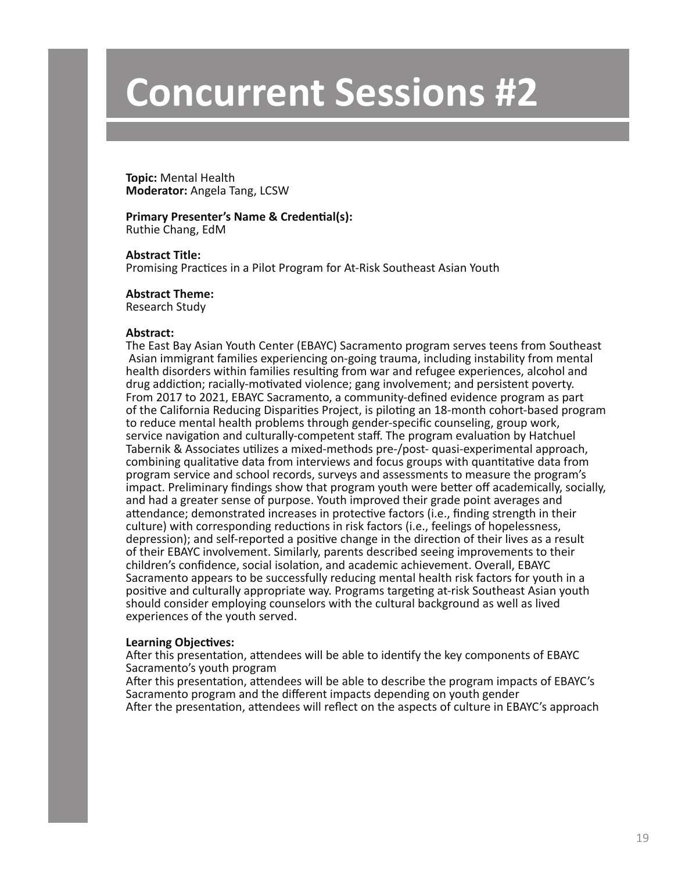**Topic:** Mental Health **Moderator:** Angela Tang, LCSW

# **Primary Presenter's Name & Credential(s):**

Ruthie Chang, EdM

**Abstract Title:** Promising Practices in a Pilot Program for At-Risk Southeast Asian Youth

#### **Abstract Theme:**

Research Study

#### **Abstract:**

The East Bay Asian Youth Center (EBAYC) Sacramento program serves teens from Southeast Asian immigrant families experiencing on-going trauma, including instability from mental health disorders within families resulting from war and refugee experiences, alcohol and drug addiction; racially-motivated violence; gang involvement; and persistent poverty. From 2017 to 2021, EBAYC Sacramento, a community-defined evidence program as part of the California Reducing Disparities Project, is piloting an 18-month cohort-based program to reduce mental health problems through gender-specific counseling, group work, service navigation and culturally-competent staff. The program evaluation by Hatchuel Tabernik & Associates utilizes a mixed-methods pre-/post- quasi-experimental approach, combining qualitative data from interviews and focus groups with quantitative data from program service and school records, surveys and assessments to measure the program's impact. Preliminary findings show that program youth were better off academically, socially, and had a greater sense of purpose. Youth improved their grade point averages and attendance; demonstrated increases in protective factors (i.e., finding strength in their culture) with corresponding reductions in risk factors (i.e., feelings of hopelessness, depression); and self-reported a positive change in the direction of their lives as a result of their EBAYC involvement. Similarly, parents described seeing improvements to their children's confidence, social isolation, and academic achievement. Overall, EBAYC Sacramento appears to be successfully reducing mental health risk factors for youth in a positive and culturally appropriate way. Programs targeting at-risk Southeast Asian youth should consider employing counselors with the cultural background as well as lived experiences of the youth served.

#### **Learning Objectives:**

After this presentation, attendees will be able to identify the key components of EBAYC Sacramento's youth program

After this presentation, attendees will be able to describe the program impacts of EBAYC's Sacramento program and the different impacts depending on youth gender After the presentation, attendees will reflect on the aspects of culture in EBAYC's approach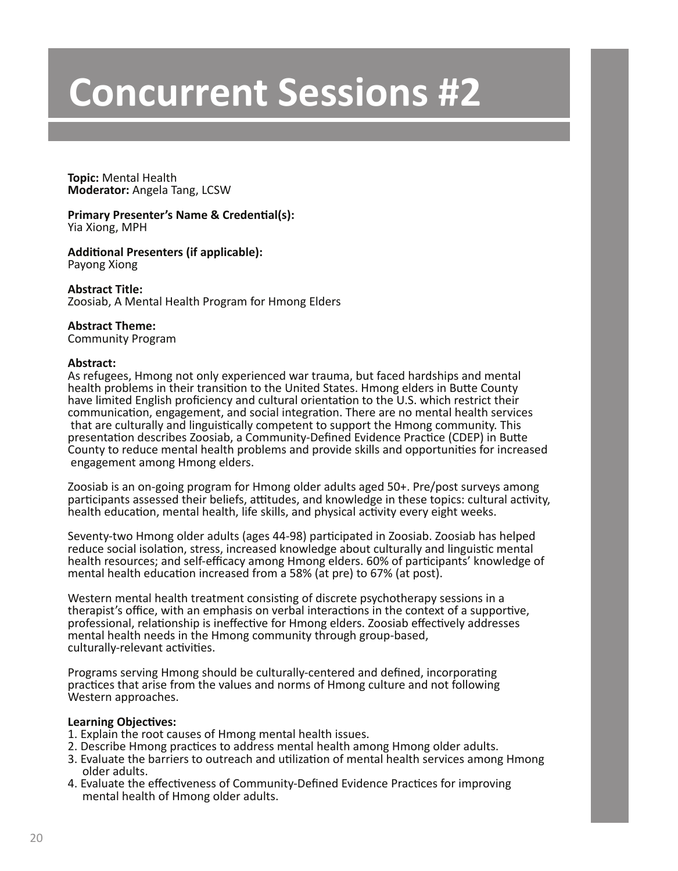**Topic:** Mental Health **Moderator:** Angela Tang, LCSW

#### **Primary Presenter's Name & Credential(s):** Yia Xiong, MPH

#### **Additional Presenters (if applicable):** Payong Xiong

**Abstract Title:** Zoosiab, A Mental Health Program for Hmong Elders

### **Abstract Theme:**

Community Program

#### **Abstract:**

As refugees, Hmong not only experienced war trauma, but faced hardships and mental health problems in their transition to the United States. Hmong elders in Butte County have limited English proficiency and cultural orientation to the U.S. which restrict their communication, engagement, and social integration. There are no mental health services that are culturally and linguistically competent to support the Hmong community. This presentation describes Zoosiab, a Community-Defined Evidence Practice (CDEP) in Butte County to reduce mental health problems and provide skills and opportunities for increased engagement among Hmong elders.

Zoosiab is an on-going program for Hmong older adults aged 50+. Pre/post surveys among participants assessed their beliefs, attitudes, and knowledge in these topics: cultural activity, health education, mental health, life skills, and physical activity every eight weeks.

Seventy-two Hmong older adults (ages 44-98) participated in Zoosiab. Zoosiab has helped reduce social isolation, stress, increased knowledge about culturally and linguistic mental health resources; and self-efficacy among Hmong elders. 60% of participants' knowledge of mental health education increased from a 58% (at pre) to 67% (at post).

Western mental health treatment consisting of discrete psychotherapy sessions in a therapist's office, with an emphasis on verbal interactions in the context of a supportive, professional, relationship is ineffective for Hmong elders. Zoosiab effectively addresses mental health needs in the Hmong community through group-based, culturally-relevant activities.

Programs serving Hmong should be culturally-centered and defined, incorporating practices that arise from the values and norms of Hmong culture and not following Western approaches.

- 1. Explain the root causes of Hmong mental health issues.
- 2. Describe Hmong practices to address mental health among Hmong older adults.
- 3. Evaluate the barriers to outreach and utilization of mental health services among Hmong older adults.
- 4. Evaluate the effectiveness of Community-Defined Evidence Practices for improving mental health of Hmong older adults.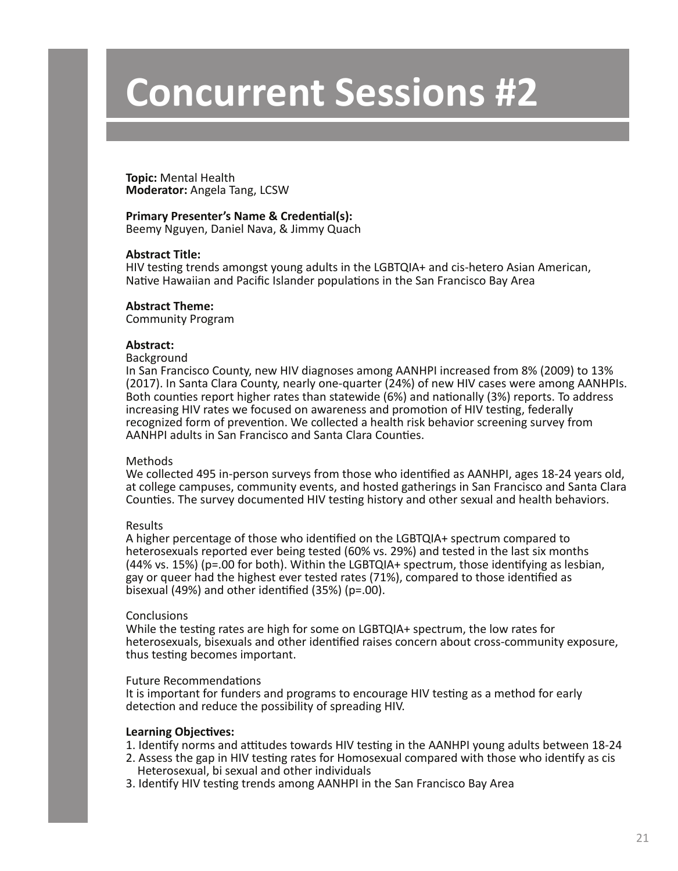**Topic:** Mental Health **Moderator:** Angela Tang, LCSW

#### **Primary Presenter's Name & Credential(s):**

Beemy Nguyen, Daniel Nava, & Jimmy Quach

#### **Abstract Title:**

HIV testing trends amongst young adults in the LGBTQIA+ and cis-hetero Asian American, Native Hawaiian and Pacific Islander populations in the San Francisco Bay Area

#### **Abstract Theme:**

Community Program

#### **Abstract:**

#### Background

In San Francisco County, new HIV diagnoses among AANHPI increased from 8% (2009) to 13% (2017). In Santa Clara County, nearly one-quarter (24%) of new HIV cases were among AANHPIs. Both counties report higher rates than statewide (6%) and nationally (3%) reports. To address increasing HIV rates we focused on awareness and promotion of HIV testing, federally recognized form of prevention. We collected a health risk behavior screening survey from AANHPI adults in San Francisco and Santa Clara Counties.

#### Methods

We collected 495 in-person surveys from those who identified as AANHPI, ages 18-24 years old, at college campuses, community events, and hosted gatherings in San Francisco and Santa Clara Counties. The survey documented HIV testing history and other sexual and health behaviors.

#### Results

A higher percentage of those who identified on the LGBTQIA+ spectrum compared to heterosexuals reported ever being tested (60% vs. 29%) and tested in the last six months (44% vs. 15%) (p=.00 for both). Within the LGBTQIA+ spectrum, those identifying as lesbian, gay or queer had the highest ever tested rates (71%), compared to those identified as bisexual (49%) and other identified (35%) (p=.00).

#### **Conclusions**

While the testing rates are high for some on LGBTQIA+ spectrum, the low rates for heterosexuals, bisexuals and other identified raises concern about cross-community exposure, thus testing becomes important.

#### Future Recommendations

It is important for funders and programs to encourage HIV testing as a method for early detection and reduce the possibility of spreading HIV.

- 1. Identify norms and attitudes towards HIV testing in the AANHPI young adults between 18-24
- 2. Assess the gap in HIV testing rates for Homosexual compared with those who identify as cis Heterosexual, bi sexual and other individuals
- 3. Identify HIV testing trends among AANHPI in the San Francisco Bay Area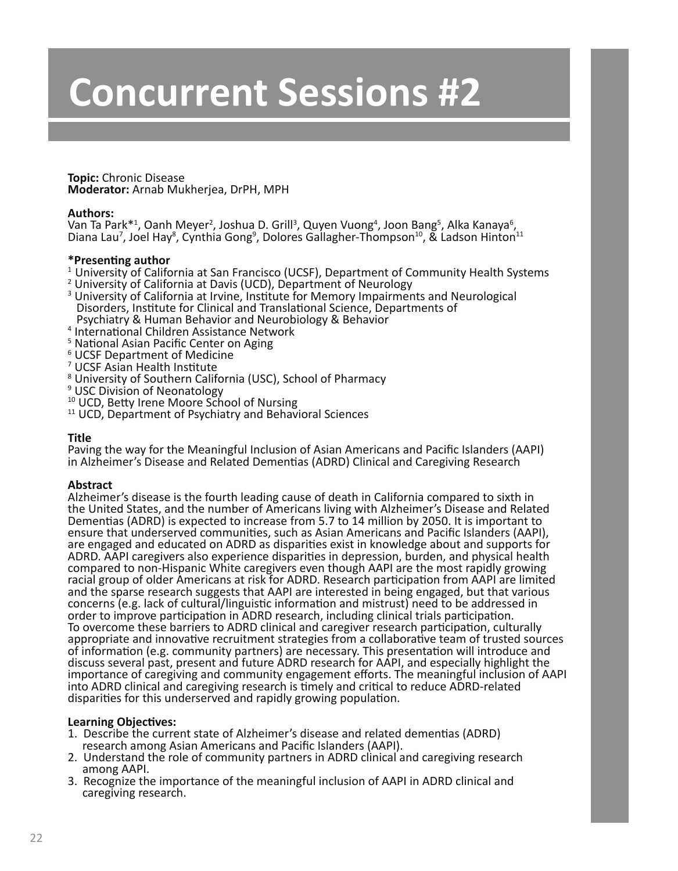**Topic:** Chronic Disease **Moderator:** Arnab Mukherjea, DrPH, MPH

#### **Authors:**

Van Ta Park\*<sup>1</sup>, Oanh Meyer<sup>2</sup>, Joshua D. Grill<sup>3</sup>, Quyen Vuong<sup>4</sup>, Joon Bang<sup>5</sup>, Alka Kanaya<sup>6</sup> Van Ta Park\*<sup>1</sup>, Oanh Meyer<sup>2</sup>, Joshua D. Grill<sup>3</sup>, Quyen Vuong<sup>4</sup>, Joon Bang<sup>5</sup>, Alka Kanaya<sup>6</sup>,<br>Diana Lau<sup>7</sup>, Joel Hay<sup>8</sup>, Cynthia Gong<sup>9</sup>, Dolores Gallagher-Thompson<sup>10</sup>, & Ladson Hinton<sup>11</sup>

#### **\*Presenting author**

- $1$  University of California at San Francisco (UCSF), Department of Community Health Systems
- 2 University of California at Davis (UCD), Department of Neurology
- <sup>3</sup> University of California at Irvine, Institute for Memory Impairments and Neurological Disorders, Institute for Clinical and Translational Science, Departments of Psychiatry & Human Behavior and Neurobiology & Behavior
- 4 International Children Assistance Network
- <sup>5</sup> National Asian Pacific Center on Aging
- 6 UCSF Department of Medicine
- 7 UCSF Asian Health Institute
- <sup>8</sup> University of Southern California (USC), School of Pharmacy
- 9 USC Division of Neonatology
- 
- $11$  UCD, Department of Psychiatry and Behavioral Sciences

#### **Title**

Paving the way for the Meaningful Inclusion of Asian Americans and Pacific Islanders (AAPI) in Alzheimer's Disease and Related Dementias (ADRD) Clinical and Caregiving Research

#### **Abstract**

Alzheimer's disease is the fourth leading cause of death in California compared to sixth in the United States, and the number of Americans living with Alzheimer's Disease and Related Dementias (ADRD) is expected to increase from 5.7 to 14 million by 2050. It is important to ensure that underserved communities, such as Asian Americans and Pacific Islanders (AAPI), are engaged and educated on ADRD as disparities exist in knowledge about and supports for ADRD. AAPI caregivers also experience disparities in depression, burden, and physical health compared to non-Hispanic White caregivers even though AAPI are the most rapidly growing racial group of older Americans at risk for ADRD. Research participation from AAPI are limited and the sparse research suggests that AAPI are interested in being engaged, but that various concerns (e.g. lack of cultural/linguistic information and mistrust) need to be addressed in order to improve participation in ADRD research, including clinical trials participation. To overcome these barriers to ADRD clinical and caregiver research participation, culturally appropriate and innovative recruitment strategies from a collaborative team of trusted sources of information (e.g. community partners) are necessary. This presentation will introduce and discuss several past, present and future ADRD research for AAPI, and especially highlight the importance of caregiving and community engagement efforts. The meaningful inclusion of AAPI into ADRD clinical and caregiving research is timely and critical to reduce ADRD-related disparities for this underserved and rapidly growing population.

- 1. Describe the current state of Alzheimer's disease and related dementias (ADRD) research among Asian Americans and Pacific Islanders (AAPI).
- 2. Understand the role of community partners in ADRD clinical and caregiving research among AAPI.
- 3. Recognize the importance of the meaningful inclusion of AAPI in ADRD clinical and caregiving research.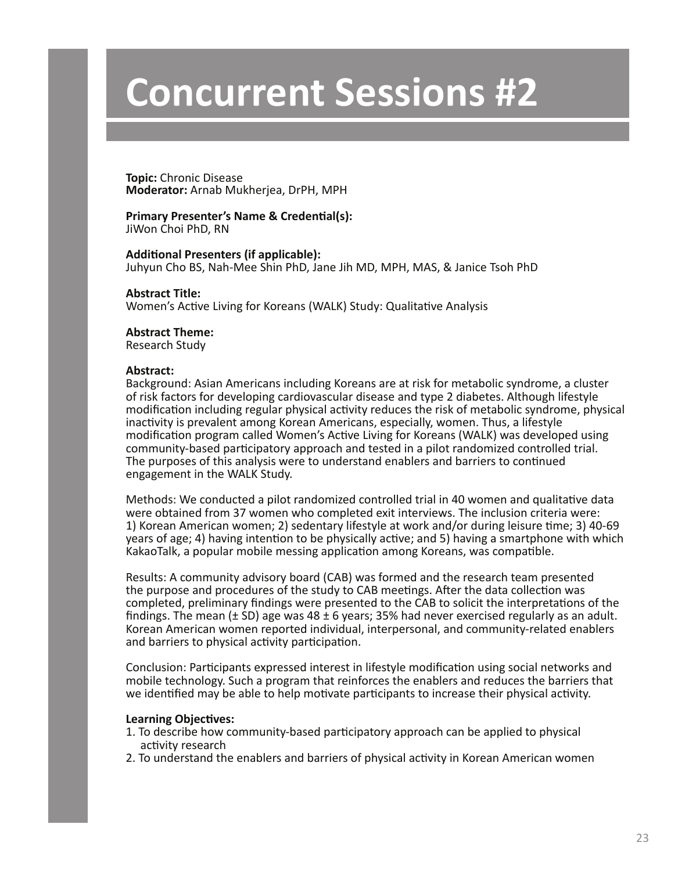**Topic:** Chronic Disease **Moderator:** Arnab Mukherjea, DrPH, MPH

# **Primary Presenter's Name & Credential(s):**

JiWon Choi PhD, RN

#### **Additional Presenters (if applicable):**

Juhyun Cho BS, Nah-Mee Shin PhD, Jane Jih MD, MPH, MAS, & Janice Tsoh PhD

**Abstract Title:** Women's Active Living for Koreans (WALK) Study: Qualitative Analysis

### **Abstract Theme:**

Research Study

#### **Abstract:**

Background: Asian Americans including Koreans are at risk for metabolic syndrome, a cluster of risk factors for developing cardiovascular disease and type 2 diabetes. Although lifestyle modification including regular physical activity reduces the risk of metabolic syndrome, physical inactivity is prevalent among Korean Americans, especially, women. Thus, a lifestyle modification program called Women's Active Living for Koreans (WALK) was developed using community-based participatory approach and tested in a pilot randomized controlled trial. The purposes of this analysis were to understand enablers and barriers to continued engagement in the WALK Study.

Methods: We conducted a pilot randomized controlled trial in 40 women and qualitative data were obtained from 37 women who completed exit interviews. The inclusion criteria were: 1) Korean American women; 2) sedentary lifestyle at work and/or during leisure time; 3) 40-69 years of age; 4) having intention to be physically active; and 5) having a smartphone with which KakaoTalk, a popular mobile messing application among Koreans, was compatible.

Results: A community advisory board (CAB) was formed and the research team presented the purpose and procedures of the study to CAB meetings. After the data collection was completed, preliminary findings were presented to the CAB to solicit the interpretations of the findings. The mean ( $\pm$  SD) age was 48  $\pm$  6 years; 35% had never exercised regularly as an adult. Korean American women reported individual, interpersonal, and community-related enablers and barriers to physical activity participation.

Conclusion: Participants expressed interest in lifestyle modification using social networks and mobile technology. Such a program that reinforces the enablers and reduces the barriers that we identified may be able to help motivate participants to increase their physical activity.

- 1. To describe how community-based participatory approach can be applied to physical activity research
- 2. To understand the enablers and barriers of physical activity in Korean American women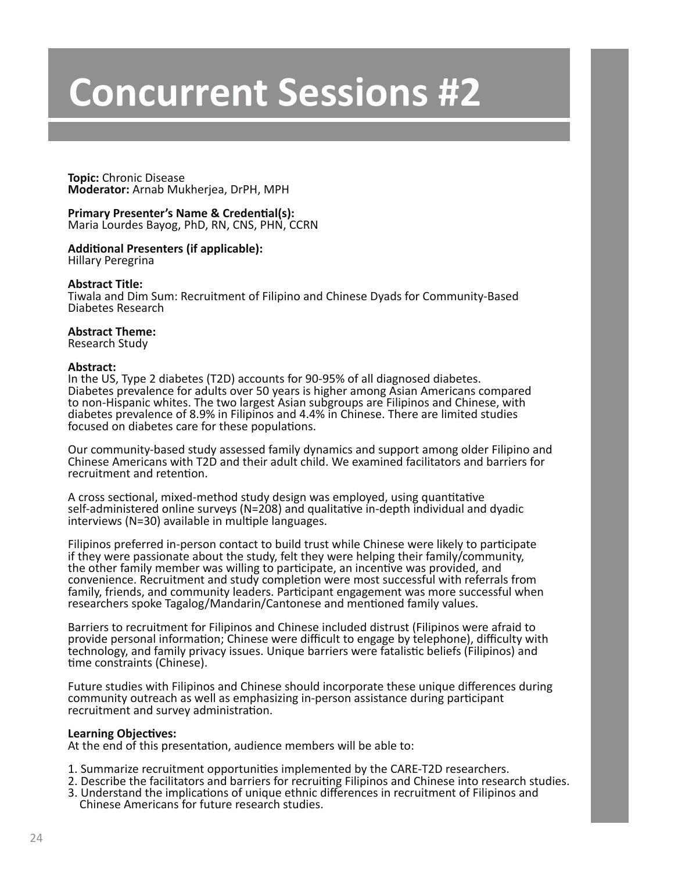**Topic:** Chronic Disease **Moderator:** Arnab Mukherjea, DrPH, MPH

**Primary Presenter's Name & Credential(s):** Maria Lourdes Bayog, PhD, RN, CNS, PHN, CCRN

**Additional Presenters (if applicable):** Hillary Peregrina

#### **Abstract Title:**

Tiwala and Dim Sum: Recruitment of Filipino and Chinese Dyads for Community-Based Diabetes Research

#### **Abstract Theme:**

Research Study

#### **Abstract:**

In the US, Type 2 diabetes (T2D) accounts for 90-95% of all diagnosed diabetes. Diabetes prevalence for adults over 50 years is higher among Asian Americans compared to non-Hispanic whites. The two largest Asian subgroups are Filipinos and Chinese, with diabetes prevalence of 8.9% in Filipinos and 4.4% in Chinese. There are limited studies focused on diabetes care for these populations.

Our community-based study assessed family dynamics and support among older Filipino and Chinese Americans with T2D and their adult child. We examined facilitators and barriers for recruitment and retention.

A cross sectional, mixed-method study design was employed, using quantitative self-administered online surveys (N=208) and qualitative in-depth individual and dyadic interviews (N=30) available in multiple languages.

Filipinos preferred in-person contact to build trust while Chinese were likely to participate if they were passionate about the study, felt they were helping their family/community, the other family member was willing to participate, an incentive was provided, and convenience. Recruitment and study completion were most successful with referrals from family, friends, and community leaders. Participant engagement was more successful when researchers spoke Tagalog/Mandarin/Cantonese and mentioned family values.

Barriers to recruitment for Filipinos and Chinese included distrust (Filipinos were afraid to provide personal information; Chinese were difficult to engage by telephone), difficulty with technology, and family privacy issues. Unique barriers were fatalistic beliefs (Filipinos) and time constraints (Chinese).

Future studies with Filipinos and Chinese should incorporate these unique differences during community outreach as well as emphasizing in-person assistance during participant recruitment and survey administration.

#### **Learning Objectives:**

At the end of this presentation, audience members will be able to:

- 1. Summarize recruitment opportunities implemented by the CARE-T2D researchers.
- 2. Describe the facilitators and barriers for recruiting Filipinos and Chinese into research studies.
- 3. Understand the implications of unique ethnic differences in recruitment of Filipinos and Chinese Americans for future research studies.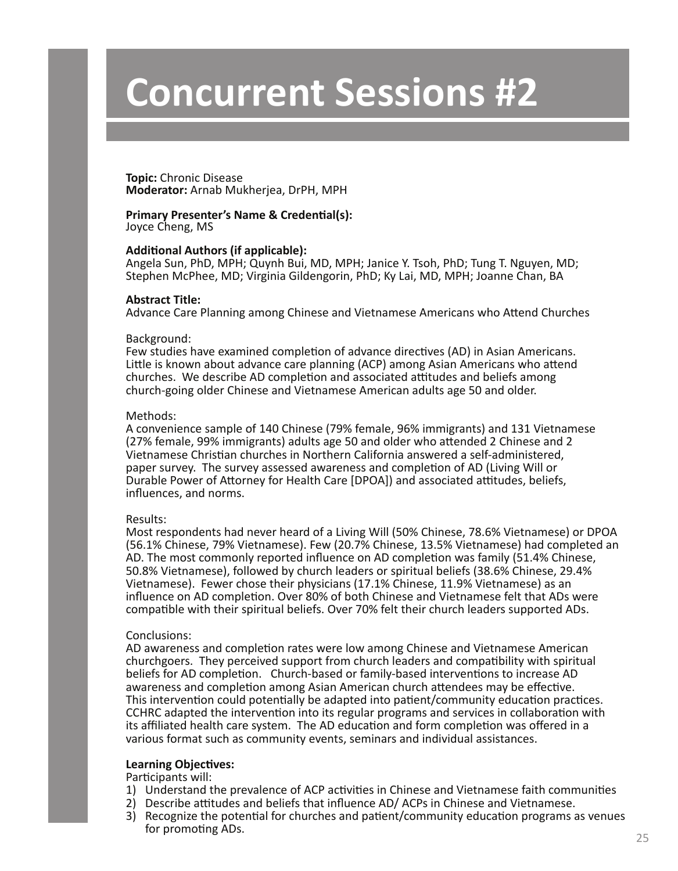**Topic:** Chronic Disease **Moderator:** Arnab Mukherjea, DrPH, MPH

#### **Primary Presenter's Name & Credential(s):** Joyce Cheng, MS

#### **Additional Authors (if applicable):**

Angela Sun, PhD, MPH; Quynh Bui, MD, MPH; Janice Y. Tsoh, PhD; Tung T. Nguyen, MD; Stephen McPhee, MD; Virginia Gildengorin, PhD; Ky Lai, MD, MPH; Joanne Chan, BA

#### **Abstract Title:**

Advance Care Planning among Chinese and Vietnamese Americans who Attend Churches

#### Background:

Few studies have examined completion of advance directives (AD) in Asian Americans. Little is known about advance care planning (ACP) among Asian Americans who attend churches. We describe AD completion and associated attitudes and beliefs among church-going older Chinese and Vietnamese American adults age 50 and older.

#### Methods:

A convenience sample of 140 Chinese (79% female, 96% immigrants) and 131 Vietnamese (27% female, 99% immigrants) adults age 50 and older who attended 2 Chinese and 2 Vietnamese Christian churches in Northern California answered a self-administered, paper survey. The survey assessed awareness and completion of AD (Living Will or Durable Power of Attorney for Health Care [DPOA]) and associated attitudes, beliefs, influences, and norms.

#### Results:

Most respondents had never heard of a Living Will (50% Chinese, 78.6% Vietnamese) or DPOA (56.1% Chinese, 79% Vietnamese). Few (20.7% Chinese, 13.5% Vietnamese) had completed an AD. The most commonly reported influence on AD completion was family (51.4% Chinese, 50.8% Vietnamese), followed by church leaders or spiritual beliefs (38.6% Chinese, 29.4% Vietnamese). Fewer chose their physicians (17.1% Chinese, 11.9% Vietnamese) as an influence on AD completion. Over 80% of both Chinese and Vietnamese felt that ADs were compatible with their spiritual beliefs. Over 70% felt their church leaders supported ADs.

#### Conclusions:

AD awareness and completion rates were low among Chinese and Vietnamese American churchgoers. They perceived support from church leaders and compatibility with spiritual beliefs for AD completion. Church-based or family-based interventions to increase AD awareness and completion among Asian American church attendees may be effective. This intervention could potentially be adapted into patient/community education practices. CCHRC adapted the intervention into its regular programs and services in collaboration with its affiliated health care system. The AD education and form completion was offered in a various format such as community events, seminars and individual assistances.

#### **Learning Objectives:**

Participants will:

- 1) Understand the prevalence of ACP activities in Chinese and Vietnamese faith communities
- 2) Describe attitudes and beliefs that influence AD/ ACPs in Chinese and Vietnamese.
- 3) Recognize the potential for churches and patient/community education programs as venues for promoting ADs. 25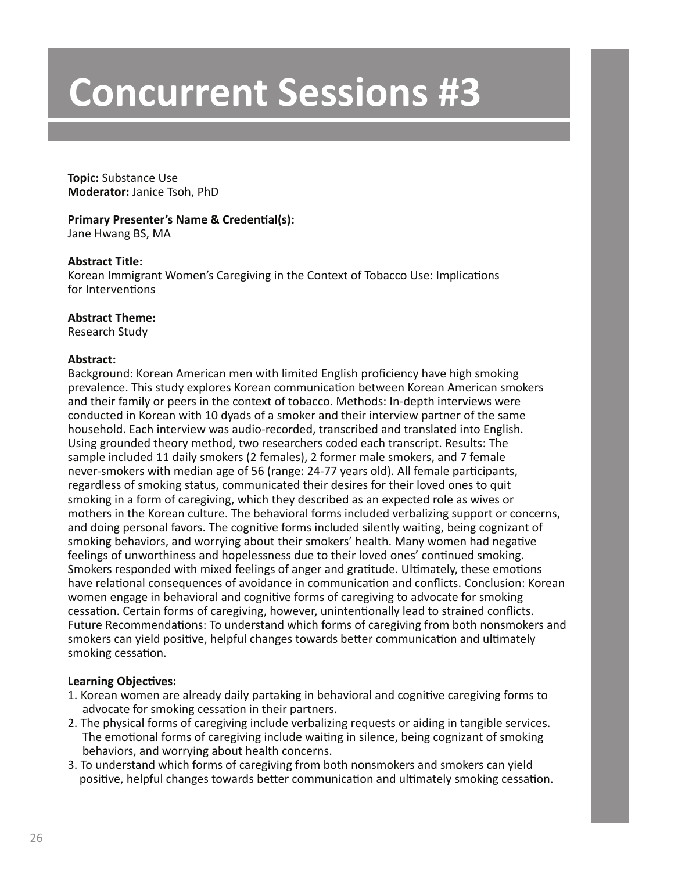**Topic:** Substance Use **Moderator:** Janice Tsoh, PhD

**Primary Presenter's Name & Credential(s):** Jane Hwang BS, MA

### **Abstract Title:**

Korean Immigrant Women's Caregiving in the Context of Tobacco Use: Implications for Interventions

### **Abstract Theme:**

Research Study

### **Abstract:**

Background: Korean American men with limited English proficiency have high smoking prevalence. This study explores Korean communication between Korean American smokers and their family or peers in the context of tobacco. Methods: In-depth interviews were conducted in Korean with 10 dyads of a smoker and their interview partner of the same household. Each interview was audio-recorded, transcribed and translated into English. Using grounded theory method, two researchers coded each transcript. Results: The sample included 11 daily smokers (2 females), 2 former male smokers, and 7 female never-smokers with median age of 56 (range: 24-77 years old). All female participants, regardless of smoking status, communicated their desires for their loved ones to quit smoking in a form of caregiving, which they described as an expected role as wives or mothers in the Korean culture. The behavioral forms included verbalizing support or concerns, and doing personal favors. The cognitive forms included silently waiting, being cognizant of smoking behaviors, and worrying about their smokers' health. Many women had negative feelings of unworthiness and hopelessness due to their loved ones' continued smoking. Smokers responded with mixed feelings of anger and gratitude. Ultimately, these emotions have relational consequences of avoidance in communication and conflicts. Conclusion: Korean women engage in behavioral and cognitive forms of caregiving to advocate for smoking cessation. Certain forms of caregiving, however, unintentionally lead to strained conflicts. Future Recommendations: To understand which forms of caregiving from both nonsmokers and smokers can yield positive, helpful changes towards better communication and ultimately smoking cessation.

- 1. Korean women are already daily partaking in behavioral and cognitive caregiving forms to advocate for smoking cessation in their partners.
- 2. The physical forms of caregiving include verbalizing requests or aiding in tangible services. The emotional forms of caregiving include waiting in silence, being cognizant of smoking behaviors, and worrying about health concerns.
- 3. To understand which forms of caregiving from both nonsmokers and smokers can yield positive, helpful changes towards better communication and ultimately smoking cessation.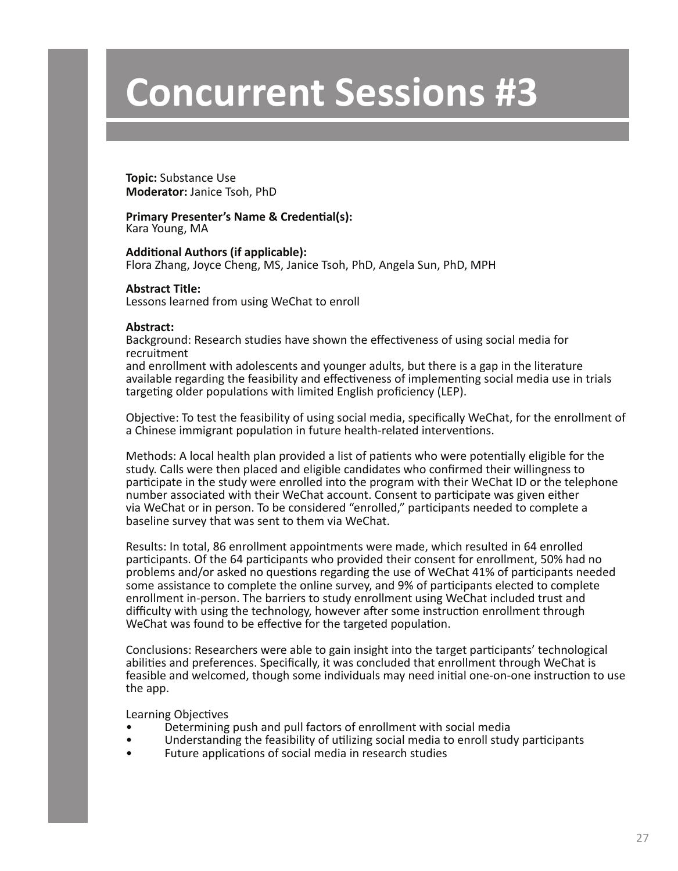**Topic:** Substance Use **Moderator:** Janice Tsoh, PhD

#### **Primary Presenter's Name & Credential(s):** Kara Young, MA

**Additional Authors (if applicable):** Flora Zhang, Joyce Cheng, MS, Janice Tsoh, PhD, Angela Sun, PhD, MPH

#### **Abstract Title:**

Lessons learned from using WeChat to enroll

#### **Abstract:**

Background: Research studies have shown the effectiveness of using social media for recruitment

and enrollment with adolescents and younger adults, but there is a gap in the literature available regarding the feasibility and effectiveness of implementing social media use in trials targeting older populations with limited English proficiency (LEP).

Objective: To test the feasibility of using social media, specifically WeChat, for the enrollment of a Chinese immigrant population in future health-related interventions.

Methods: A local health plan provided a list of patients who were potentially eligible for the study. Calls were then placed and eligible candidates who confirmed their willingness to participate in the study were enrolled into the program with their WeChat ID or the telephone number associated with their WeChat account. Consent to participate was given either via WeChat or in person. To be considered "enrolled," participants needed to complete a baseline survey that was sent to them via WeChat.

Results: In total, 86 enrollment appointments were made, which resulted in 64 enrolled participants. Of the 64 participants who provided their consent for enrollment, 50% had no problems and/or asked no questions regarding the use of WeChat 41% of participants needed some assistance to complete the online survey, and 9% of participants elected to complete enrollment in-person. The barriers to study enrollment using WeChat included trust and difficulty with using the technology, however after some instruction enrollment through WeChat was found to be effective for the targeted population.

Conclusions: Researchers were able to gain insight into the target participants' technological abilities and preferences. Specifically, it was concluded that enrollment through WeChat is feasible and welcomed, though some individuals may need initial one-on-one instruction to use the app.

- Determining push and pull factors of enrollment with social media
- Understanding the feasibility of utilizing social media to enroll study participants
- Future applications of social media in research studies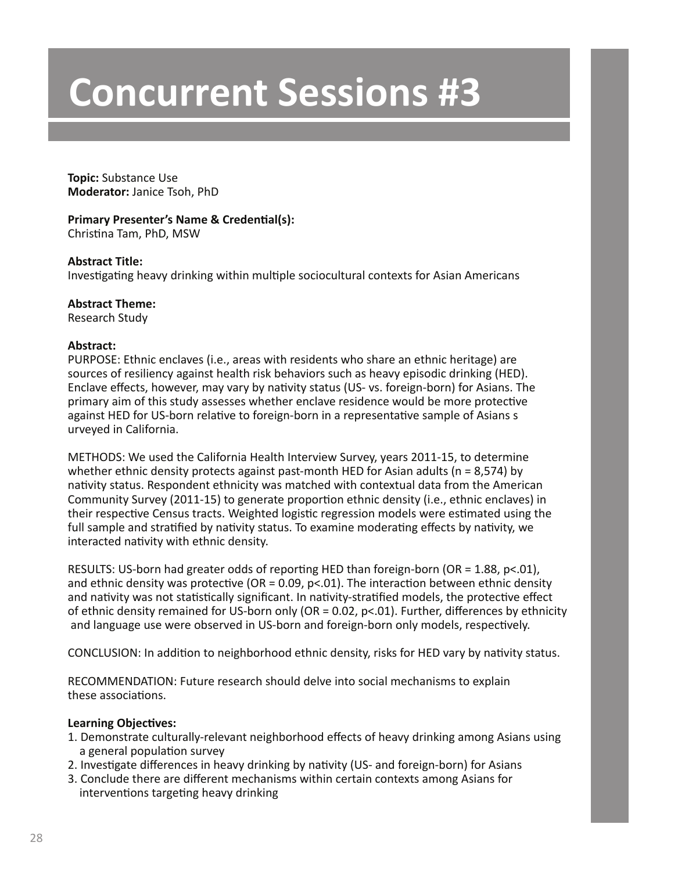**Topic:** Substance Use **Moderator:** Janice Tsoh, PhD

# **Primary Presenter's Name & Credential(s):**

Christina Tam, PhD, MSW

# **Abstract Title:**

Investigating heavy drinking within multiple sociocultural contexts for Asian Americans

# **Abstract Theme:**

Research Study

# **Abstract:**

PURPOSE: Ethnic enclaves (i.e., areas with residents who share an ethnic heritage) are sources of resiliency against health risk behaviors such as heavy episodic drinking (HED). Enclave effects, however, may vary by nativity status (US- vs. foreign-born) for Asians. The primary aim of this study assesses whether enclave residence would be more protective against HED for US-born relative to foreign-born in a representative sample of Asians s urveyed in California.

METHODS: We used the California Health Interview Survey, years 2011-15, to determine whether ethnic density protects against past-month HED for Asian adults ( $n = 8,574$ ) by nativity status. Respondent ethnicity was matched with contextual data from the American Community Survey (2011-15) to generate proportion ethnic density (i.e., ethnic enclaves) in their respective Census tracts. Weighted logistic regression models were estimated using the full sample and stratified by nativity status. To examine moderating effects by nativity, we interacted nativity with ethnic density.

RESULTS: US-born had greater odds of reporting HED than foreign-born (OR = 1.88, p<.01), and ethnic density was protective (OR =  $0.09$ ,  $p<0.1$ ). The interaction between ethnic density and nativity was not statistically significant. In nativity-stratified models, the protective effect of ethnic density remained for US-born only (OR = 0.02, p<.01). Further, differences by ethnicity and language use were observed in US-born and foreign-born only models, respectively.

CONCLUSION: In addition to neighborhood ethnic density, risks for HED vary by nativity status.

RECOMMENDATION: Future research should delve into social mechanisms to explain these associations.

- 1. Demonstrate culturally-relevant neighborhood effects of heavy drinking among Asians using a general population survey
- 2. Investigate differences in heavy drinking by nativity (US- and foreign-born) for Asians
- 3. Conclude there are different mechanisms within certain contexts among Asians for interventions targeting heavy drinking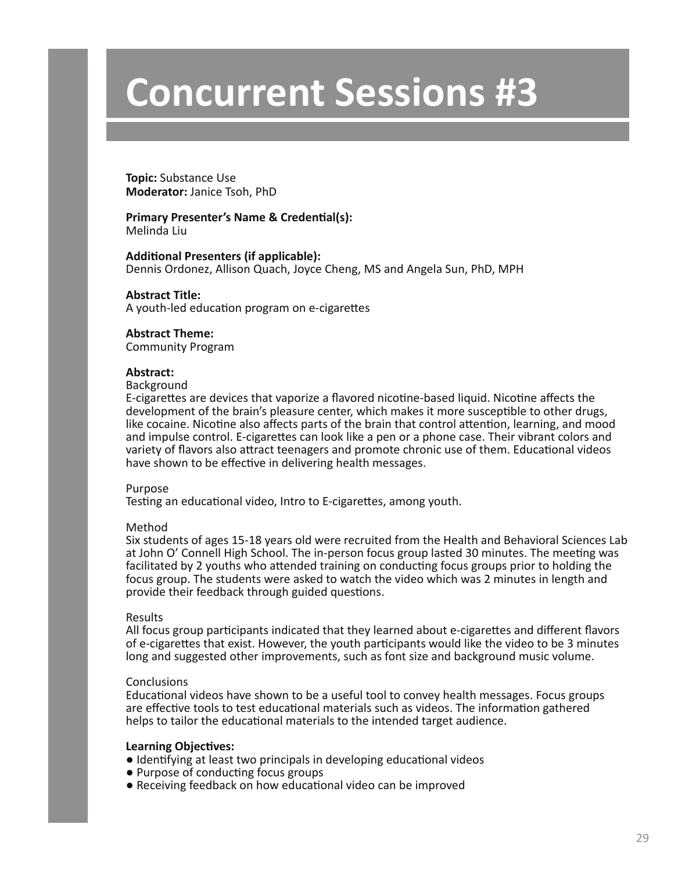**Topic:** Substance Use **Moderator:** Janice Tsoh, PhD

#### **Primary Presenter's Name & Credential(s):** Melinda Liu

**Additional Presenters (if applicable):**

Dennis Ordonez, Allison Quach, Joyce Cheng, MS and Angela Sun, PhD, MPH

**Abstract Title:** A youth-led education program on e-cigarettes

#### **Abstract Theme:**

Community Program

#### **Abstract:**

#### Background

E-cigarettes are devices that vaporize a flavored nicotine-based liquid. Nicotine affects the development of the brain's pleasure center, which makes it more susceptible to other drugs, like cocaine. Nicotine also affects parts of the brain that control attention, learning, and mood and impulse control. E-cigarettes can look like a pen or a phone case. Their vibrant colors and variety of flavors also attract teenagers and promote chronic use of them. Educational videos have shown to be effective in delivering health messages.

#### Purpose

Testing an educational video, Intro to E-cigarettes, among youth.

#### Method

Six students of ages 15-18 years old were recruited from the Health and Behavioral Sciences Lab at John O' Connell High School. The in-person focus group lasted 30 minutes. The meeting was facilitated by 2 youths who attended training on conducting focus groups prior to holding the focus group. The students were asked to watch the video which was 2 minutes in length and provide their feedback through guided questions.

#### Results

All focus group participants indicated that they learned about e-cigarettes and different flavors of e-cigarettes that exist. However, the youth participants would like the video to be 3 minutes long and suggested other improvements, such as font size and background music volume.

#### **Conclusions**

Educational videos have shown to be a useful tool to convey health messages. Focus groups are effective tools to test educational materials such as videos. The information gathered helps to tailor the educational materials to the intended target audience.

- Identifying at least two principals in developing educational videos
- Purpose of conducting focus groups
- Receiving feedback on how educational video can be improved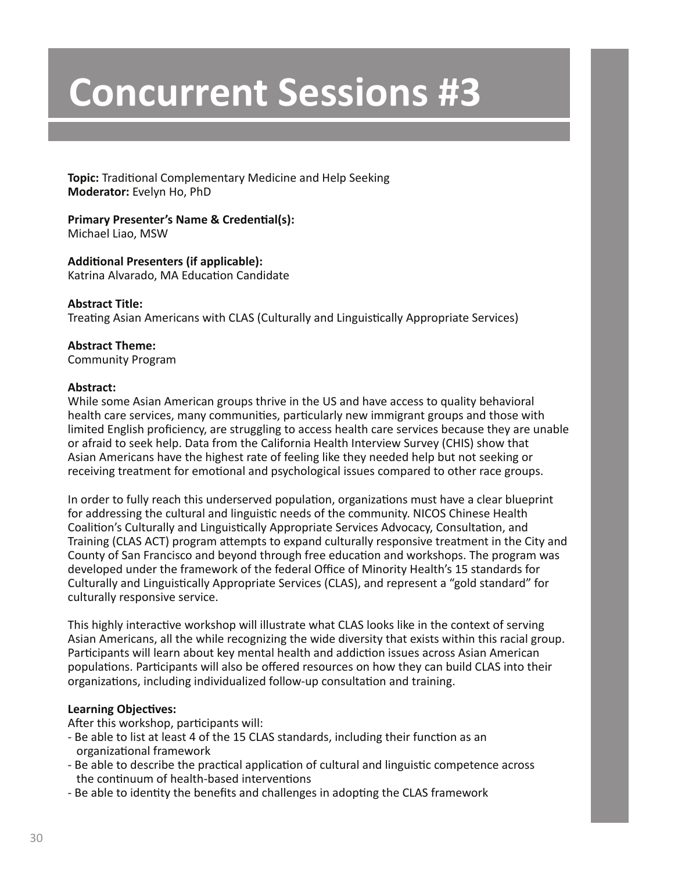**Topic:** Traditional Complementary Medicine and Help Seeking **Moderator:** Evelyn Ho, PhD

#### **Primary Presenter's Name & Credential(s):** Michael Liao, MSW

# **Additional Presenters (if applicable):**

Katrina Alvarado, MA Education Candidate

# **Abstract Title:**

Treating Asian Americans with CLAS (Culturally and Linguistically Appropriate Services)

# **Abstract Theme:**

Community Program

# **Abstract:**

While some Asian American groups thrive in the US and have access to quality behavioral health care services, many communities, particularly new immigrant groups and those with limited English proficiency, are struggling to access health care services because they are unable or afraid to seek help. Data from the California Health Interview Survey (CHIS) show that Asian Americans have the highest rate of feeling like they needed help but not seeking or receiving treatment for emotional and psychological issues compared to other race groups.

In order to fully reach this underserved population, organizations must have a clear blueprint for addressing the cultural and linguistic needs of the community. NICOS Chinese Health Coalition's Culturally and Linguistically Appropriate Services Advocacy, Consultation, and Training (CLAS ACT) program attempts to expand culturally responsive treatment in the City and County of San Francisco and beyond through free education and workshops. The program was developed under the framework of the federal Office of Minority Health's 15 standards for Culturally and Linguistically Appropriate Services (CLAS), and represent a "gold standard" for culturally responsive service.

This highly interactive workshop will illustrate what CLAS looks like in the context of serving Asian Americans, all the while recognizing the wide diversity that exists within this racial group. Participants will learn about key mental health and addiction issues across Asian American populations. Participants will also be offered resources on how they can build CLAS into their organizations, including individualized follow-up consultation and training.

# **Learning Objectives:**

After this workshop, participants will:

- Be able to list at least 4 of the 15 CLAS standards, including their function as an organizational framework
- Be able to describe the practical application of cultural and linguistic competence across the continuum of health-based interventions
- Be able to identity the benefits and challenges in adopting the CLAS framework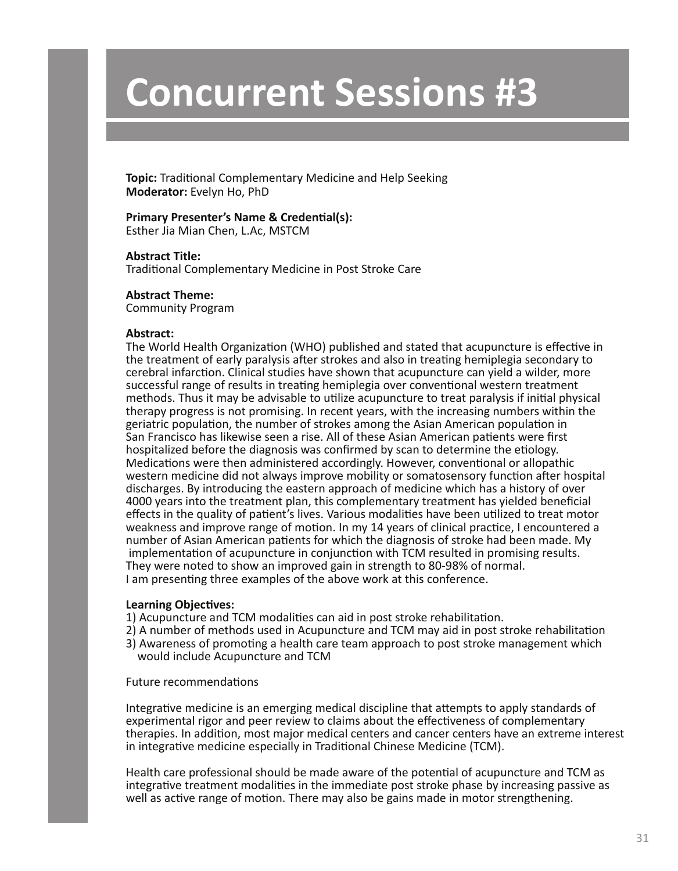**Topic:** Traditional Complementary Medicine and Help Seeking **Moderator:** Evelyn Ho, PhD

### **Primary Presenter's Name & Credential(s):**

Esther Jia Mian Chen, L.Ac, MSTCM

#### **Abstract Title:**

Traditional Complementary Medicine in Post Stroke Care

#### **Abstract Theme:**

Community Program

#### **Abstract:**

The World Health Organization (WHO) published and stated that acupuncture is effective in the treatment of early paralysis after strokes and also in treating hemiplegia secondary to cerebral infarction. Clinical studies have shown that acupuncture can yield a wilder, more successful range of results in treating hemiplegia over conventional western treatment methods. Thus it may be advisable to utilize acupuncture to treat paralysis if initial physical therapy progress is not promising. In recent years, with the increasing numbers within the geriatric population, the number of strokes among the Asian American population in San Francisco has likewise seen a rise. All of these Asian American patients were first hospitalized before the diagnosis was confirmed by scan to determine the etiology. Medications were then administered accordingly. However, conventional or allopathic western medicine did not always improve mobility or somatosensory function after hospital discharges. By introducing the eastern approach of medicine which has a history of over 4000 years into the treatment plan, this complementary treatment has yielded beneficial effects in the quality of patient's lives. Various modalities have been utilized to treat motor weakness and improve range of motion. In my 14 years of clinical practice, I encountered a number of Asian American patients for which the diagnosis of stroke had been made. My implementation of acupuncture in conjunction with TCM resulted in promising results. They were noted to show an improved gain in strength to 80-98% of normal. I am presenting three examples of the above work at this conference.

#### **Learning Objectives:**

- 1) Acupuncture and TCM modalities can aid in post stroke rehabilitation.
- 2) A number of methods used in Acupuncture and TCM may aid in post stroke rehabilitation
- 3) Awareness of promoting a health care team approach to post stroke management which would include Acupuncture and TCM

#### Future recommendations

Integrative medicine is an emerging medical discipline that attempts to apply standards of experimental rigor and peer review to claims about the effectiveness of complementary therapies. In addition, most major medical centers and cancer centers have an extreme interest in integrative medicine especially in Traditional Chinese Medicine (TCM).

Health care professional should be made aware of the potential of acupuncture and TCM as integrative treatment modalities in the immediate post stroke phase by increasing passive as well as active range of motion. There may also be gains made in motor strengthening.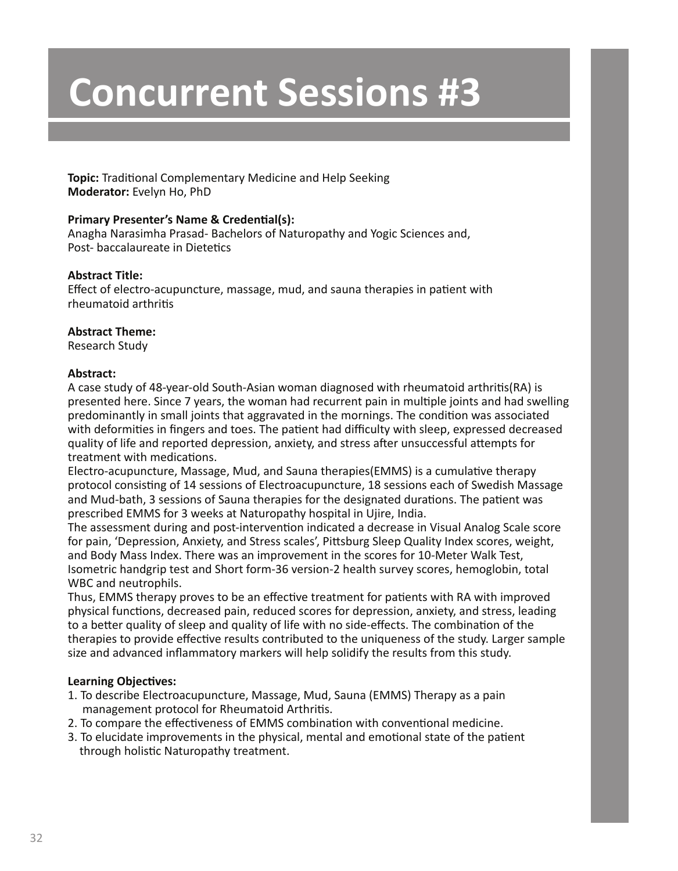**Topic:** Traditional Complementary Medicine and Help Seeking **Moderator:** Evelyn Ho, PhD

# **Primary Presenter's Name & Credential(s):**

Anagha Narasimha Prasad- Bachelors of Naturopathy and Yogic Sciences and, Post- baccalaureate in Dietetics

# **Abstract Title:**

Effect of electro-acupuncture, massage, mud, and sauna therapies in patient with rheumatoid arthritis

# **Abstract Theme:**

Research Study

### **Abstract:**

A case study of 48-year-old South-Asian woman diagnosed with rheumatoid arthritis(RA) is presented here. Since 7 years, the woman had recurrent pain in multiple joints and had swelling predominantly in small joints that aggravated in the mornings. The condition was associated with deformities in fingers and toes. The patient had difficulty with sleep, expressed decreased quality of life and reported depression, anxiety, and stress after unsuccessful attempts for treatment with medications.

Electro-acupuncture, Massage, Mud, and Sauna therapies(EMMS) is a cumulative therapy protocol consisting of 14 sessions of Electroacupuncture, 18 sessions each of Swedish Massage and Mud-bath, 3 sessions of Sauna therapies for the designated durations. The patient was prescribed EMMS for 3 weeks at Naturopathy hospital in Ujire, India.

The assessment during and post-intervention indicated a decrease in Visual Analog Scale score for pain, 'Depression, Anxiety, and Stress scales', Pittsburg Sleep Quality Index scores, weight, and Body Mass Index. There was an improvement in the scores for 10-Meter Walk Test, Isometric handgrip test and Short form-36 version-2 health survey scores, hemoglobin, total WBC and neutrophils.

Thus, EMMS therapy proves to be an effective treatment for patients with RA with improved physical functions, decreased pain, reduced scores for depression, anxiety, and stress, leading to a better quality of sleep and quality of life with no side-effects. The combination of the therapies to provide effective results contributed to the uniqueness of the study. Larger sample size and advanced inflammatory markers will help solidify the results from this study.

- 1. To describe Electroacupuncture, Massage, Mud, Sauna (EMMS) Therapy as a pain management protocol for Rheumatoid Arthritis.
- 2. To compare the effectiveness of EMMS combination with conventional medicine.
- 3. To elucidate improvements in the physical, mental and emotional state of the patient through holistic Naturopathy treatment.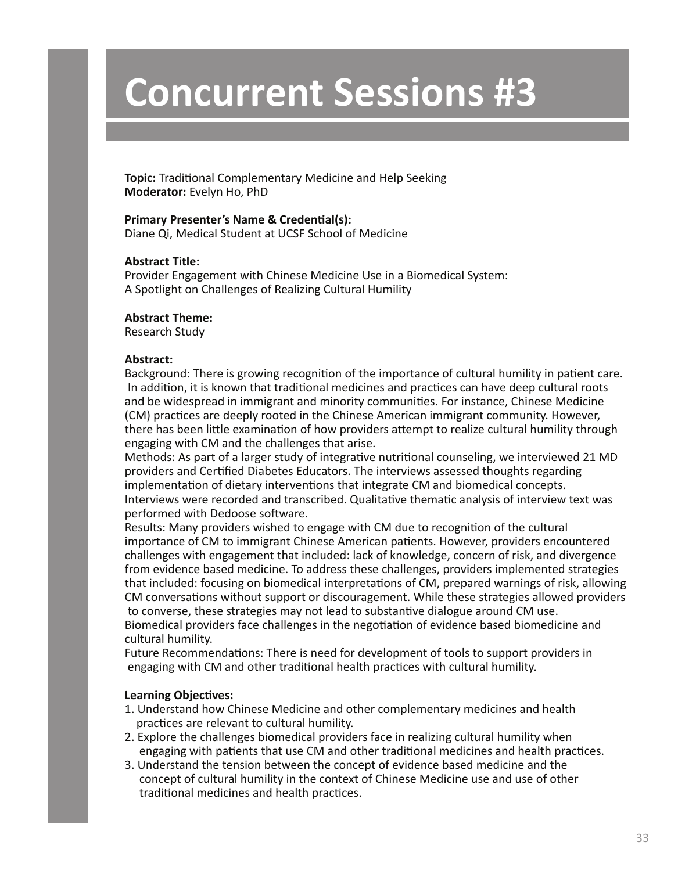**Topic:** Traditional Complementary Medicine and Help Seeking **Moderator:** Evelyn Ho, PhD

#### **Primary Presenter's Name & Credential(s):**

Diane Qi, Medical Student at UCSF School of Medicine

#### **Abstract Title:**

Provider Engagement with Chinese Medicine Use in a Biomedical System: A Spotlight on Challenges of Realizing Cultural Humility

#### **Abstract Theme:**

Research Study

#### **Abstract:**

Background: There is growing recognition of the importance of cultural humility in patient care. In addition, it is known that traditional medicines and practices can have deep cultural roots and be widespread in immigrant and minority communities. For instance, Chinese Medicine (CM) practices are deeply rooted in the Chinese American immigrant community. However, there has been little examination of how providers attempt to realize cultural humility through engaging with CM and the challenges that arise.

Methods: As part of a larger study of integrative nutritional counseling, we interviewed 21 MD providers and Certified Diabetes Educators. The interviews assessed thoughts regarding implementation of dietary interventions that integrate CM and biomedical concepts. Interviews were recorded and transcribed. Qualitative thematic analysis of interview text was performed with Dedoose software.

Results: Many providers wished to engage with CM due to recognition of the cultural importance of CM to immigrant Chinese American patients. However, providers encountered challenges with engagement that included: lack of knowledge, concern of risk, and divergence from evidence based medicine. To address these challenges, providers implemented strategies that included: focusing on biomedical interpretations of CM, prepared warnings of risk, allowing CM conversations without support or discouragement. While these strategies allowed providers to converse, these strategies may not lead to substantive dialogue around CM use. Biomedical providers face challenges in the negotiation of evidence based biomedicine and cultural humility.

Future Recommendations: There is need for development of tools to support providers in engaging with CM and other traditional health practices with cultural humility.

- 1. Understand how Chinese Medicine and other complementary medicines and health practices are relevant to cultural humility.
- 2. Explore the challenges biomedical providers face in realizing cultural humility when engaging with patients that use CM and other traditional medicines and health practices.
- 3. Understand the tension between the concept of evidence based medicine and the concept of cultural humility in the context of Chinese Medicine use and use of other traditional medicines and health practices.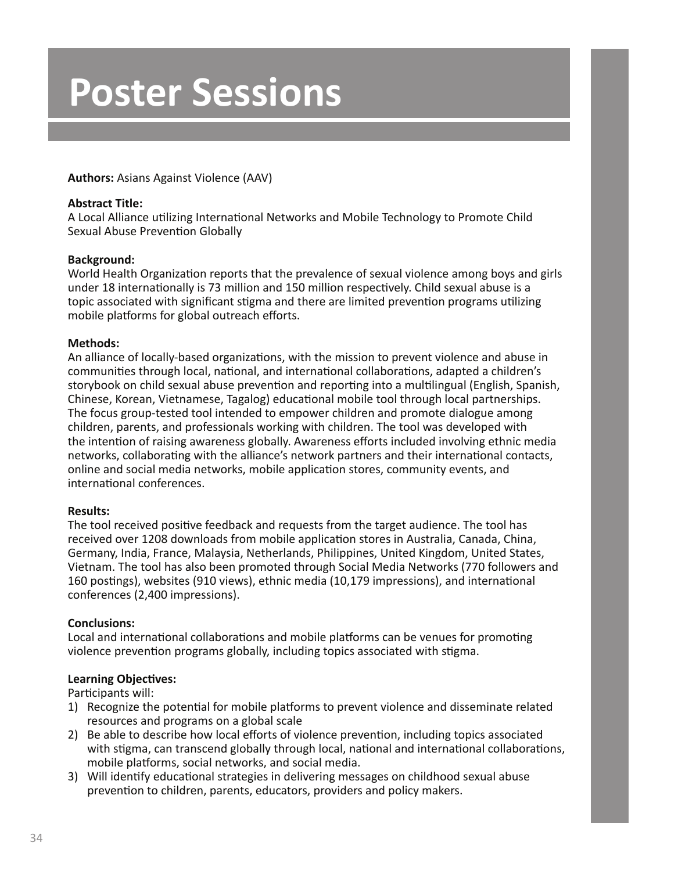### **Authors:** Asians Against Violence (AAV)

### **Abstract Title:**

A Local Alliance utilizing International Networks and Mobile Technology to Promote Child Sexual Abuse Prevention Globally

### **Background:**

World Health Organization reports that the prevalence of sexual violence among boys and girls under 18 internationally is 73 million and 150 million respectively. Child sexual abuse is a topic associated with significant stigma and there are limited prevention programs utilizing mobile platforms for global outreach efforts.

### **Methods:**

An alliance of locally-based organizations, with the mission to prevent violence and abuse in communities through local, national, and international collaborations, adapted a children's storybook on child sexual abuse prevention and reporting into a multilingual (English, Spanish, Chinese, Korean, Vietnamese, Tagalog) educational mobile tool through local partnerships. The focus group-tested tool intended to empower children and promote dialogue among children, parents, and professionals working with children. The tool was developed with the intention of raising awareness globally. Awareness efforts included involving ethnic media networks, collaborating with the alliance's network partners and their international contacts, online and social media networks, mobile application stores, community events, and international conferences.

# **Results:**

The tool received positive feedback and requests from the target audience. The tool has received over 1208 downloads from mobile application stores in Australia, Canada, China, Germany, India, France, Malaysia, Netherlands, Philippines, United Kingdom, United States, Vietnam. The tool has also been promoted through Social Media Networks (770 followers and 160 postings), websites (910 views), ethnic media (10,179 impressions), and international conferences (2,400 impressions).

# **Conclusions:**

Local and international collaborations and mobile platforms can be venues for promoting violence prevention programs globally, including topics associated with stigma.

# **Learning Objectives:**

Participants will:

- 1) Recognize the potential for mobile platforms to prevent violence and disseminate related resources and programs on a global scale
- 2) Be able to describe how local efforts of violence prevention, including topics associated with stigma, can transcend globally through local, national and international collaborations, mobile platforms, social networks, and social media.
- 3) Will identify educational strategies in delivering messages on childhood sexual abuse prevention to children, parents, educators, providers and policy makers.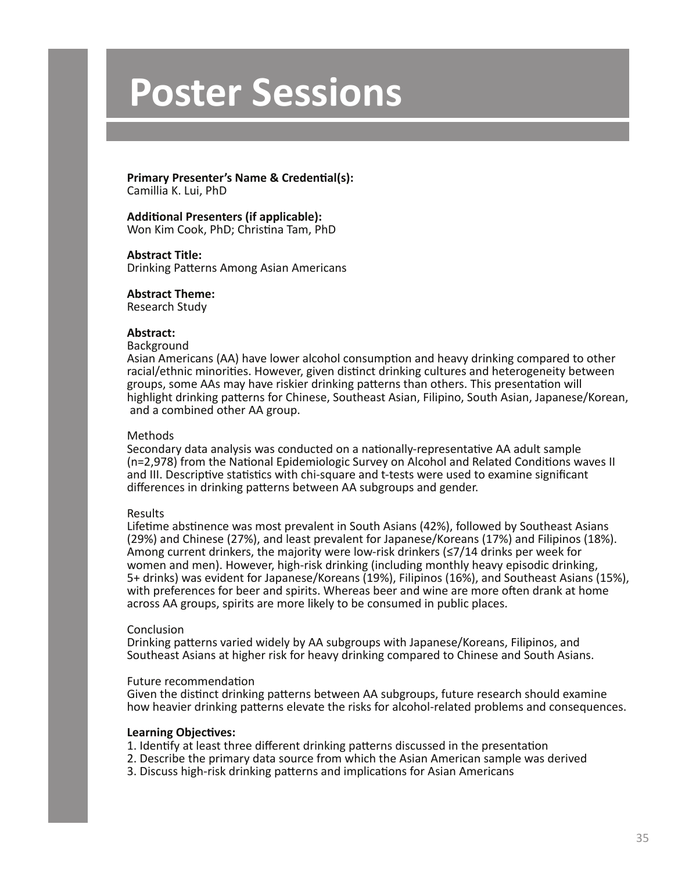#### **Primary Presenter's Name & Credential(s):** Camillia K. Lui, PhD

**Additional Presenters (if applicable):** Won Kim Cook, PhD; Christina Tam, PhD

#### **Abstract Title:**

Drinking Patterns Among Asian Americans

#### **Abstract Theme:**

Research Study

#### **Abstract:**

#### Background

Asian Americans (AA) have lower alcohol consumption and heavy drinking compared to other racial/ethnic minorities. However, given distinct drinking cultures and heterogeneity between groups, some AAs may have riskier drinking patterns than others. This presentation will highlight drinking patterns for Chinese, Southeast Asian, Filipino, South Asian, Japanese/Korean, and a combined other AA group.

#### Methods

Secondary data analysis was conducted on a nationally-representative AA adult sample (n=2,978) from the National Epidemiologic Survey on Alcohol and Related Conditions waves II and III. Descriptive statistics with chi-square and t-tests were used to examine significant differences in drinking patterns between AA subgroups and gender.

#### Results

Lifetime abstinence was most prevalent in South Asians (42%), followed by Southeast Asians (29%) and Chinese (27%), and least prevalent for Japanese/Koreans (17%) and Filipinos (18%). Among current drinkers, the majority were low-risk drinkers (≤7/14 drinks per week for women and men). However, high-risk drinking (including monthly heavy episodic drinking, 5+ drinks) was evident for Japanese/Koreans (19%), Filipinos (16%), and Southeast Asians (15%), with preferences for beer and spirits. Whereas beer and wine are more often drank at home across AA groups, spirits are more likely to be consumed in public places.

#### Conclusion

Drinking patterns varied widely by AA subgroups with Japanese/Koreans, Filipinos, and Southeast Asians at higher risk for heavy drinking compared to Chinese and South Asians.

#### Future recommendation

Given the distinct drinking patterns between AA subgroups, future research should examine how heavier drinking patterns elevate the risks for alcohol-related problems and consequences.

- 1. Identify at least three different drinking patterns discussed in the presentation
- 2. Describe the primary data source from which the Asian American sample was derived
- 3. Discuss high-risk drinking patterns and implications for Asian Americans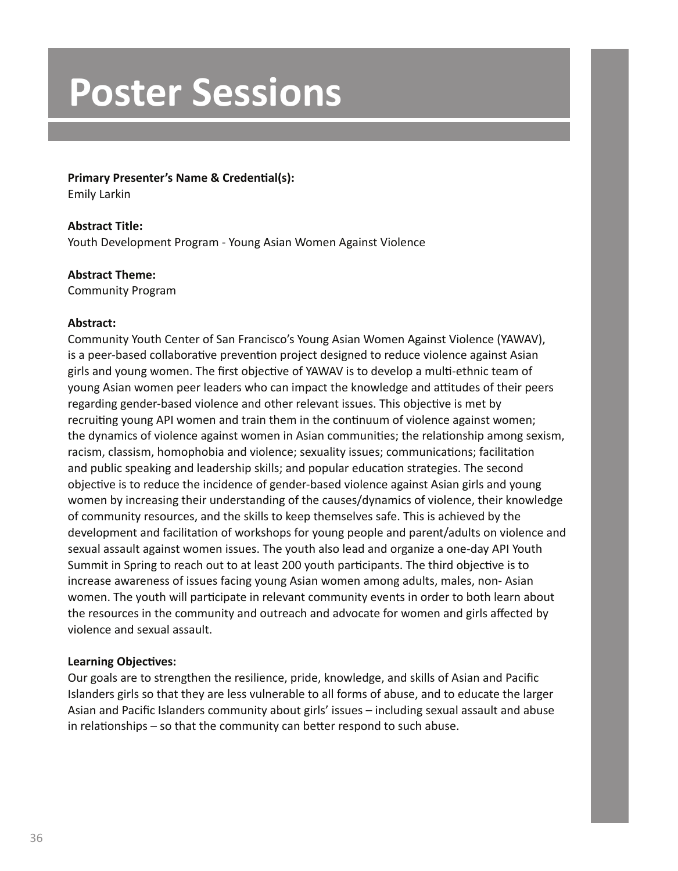### **Primary Presenter's Name & Credential(s):**

Emily Larkin

# **Abstract Title:**

Youth Development Program - Young Asian Women Against Violence

# **Abstract Theme:**

Community Program

# **Abstract:**

Community Youth Center of San Francisco's Young Asian Women Against Violence (YAWAV), is a peer-based collaborative prevention project designed to reduce violence against Asian girls and young women. The first objective of YAWAV is to develop a multi-ethnic team of young Asian women peer leaders who can impact the knowledge and attitudes of their peers regarding gender-based violence and other relevant issues. This objective is met by recruiting young API women and train them in the continuum of violence against women; the dynamics of violence against women in Asian communities; the relationship among sexism, racism, classism, homophobia and violence; sexuality issues; communications; facilitation and public speaking and leadership skills; and popular education strategies. The second objective is to reduce the incidence of gender-based violence against Asian girls and young women by increasing their understanding of the causes/dynamics of violence, their knowledge of community resources, and the skills to keep themselves safe. This is achieved by the development and facilitation of workshops for young people and parent/adults on violence and sexual assault against women issues. The youth also lead and organize a one-day API Youth Summit in Spring to reach out to at least 200 youth participants. The third objective is to increase awareness of issues facing young Asian women among adults, males, non- Asian women. The youth will participate in relevant community events in order to both learn about the resources in the community and outreach and advocate for women and girls affected by violence and sexual assault.

# **Learning Objectives:**

Our goals are to strengthen the resilience, pride, knowledge, and skills of Asian and Pacific Islanders girls so that they are less vulnerable to all forms of abuse, and to educate the larger Asian and Pacific Islanders community about girls' issues – including sexual assault and abuse in relationships – so that the community can better respond to such abuse.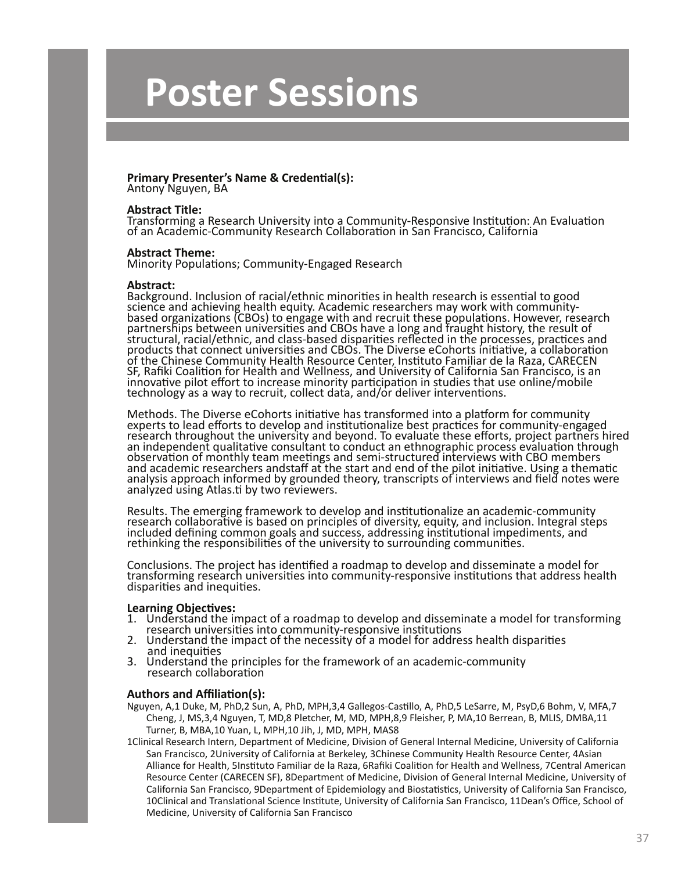# **Primary Presenter's Name & Credential(s):**

Antony Nguyen, BA

#### **Abstract Title:**

Transforming a Research University into a Community-Responsive Institution: An Evaluation of an Academic-Community Research Collaboration in San Francisco, California

#### **Abstract Theme:**

Minority Populations; Community-Engaged Research

#### **Abstract:**

Background. Inclusion of racial/ethnic minorities in health research is essential to good science and achieving health equity. Academic researchers may work with communitybased organizations (CBOs) to engage with and recruit these populations. However, research partnerships between universities and CBOs have a long and fraught history, the result of structural, racial/ethnic, and class-based disparities reflected in the processes, practices and products that connect universities and CBOs. The Diverse eCohorts initiative, a collaboration of the Chinese Community Health Resource Center, Instituto Familiar de la Raza, CARECEN SF, Rafiki Coalition for Health and Wellness, and University of California San Francisco, is an innovative pilot effort to increase minority participation in studies that use online/mobile technology as a way to recruit, collect data, and/or deliver interventions.

Methods. The Diverse eCohorts initiative has transformed into a platform for community experts to lead efforts to develop and institutionalize best practices for community-engaged research throughout the university and beyond. To evaluate these efforts, project partners hired an independent qualitative consultant to conduct an ethnographic process evaluation through observation of monthly team meetings and semi-structured interviews with CBO members and academic researchers andstaff at the start and end of the pilot initiative. Using a thematic analysis approach informed by grounded theory, transcripts of interviews and field notes were analyzed using Atlas.ti by two reviewers.

Results. The emerging framework to develop and institutionalize an academic-community research collaborative is based on principles of diversity, equity, and inclusion. Integral steps included defining common goals and success, addressing institutional impediments, and rethinking the responsibilities of the university to surrounding communities.

Conclusions. The project has identified a roadmap to develop and disseminate a model for transforming research universities into community-responsive institutions that address health disparities and inequities.

#### **Learning Objectives:**

- 1. Understand the impact of a roadmap to develop and disseminate a model for transforming research universities into community-responsive institutions
- 2. Understand the impact of the necessity of a model for address health disparities and inequities
- 3. Understand the principles for the framework of an academic-community research collaboration

#### **Authors and Affiliation(s):**

- Nguyen, A,1 Duke, M, PhD,2 Sun, A, PhD, MPH,3,4 Gallegos-Castillo, A, PhD,5 LeSarre, M, PsyD,6 Bohm, V, MFA,7 Cheng, J, MS,3,4 Nguyen, T, MD,8 Pletcher, M, MD, MPH,8,9 Fleisher, P, MA,10 Berrean, B, MLIS, DMBA,11 Turner, B, MBA,10 Yuan, L, MPH,10 Jih, J, MD, MPH, MAS8
- 1Clinical Research Intern, Department of Medicine, Division of General Internal Medicine, University of California San Francisco, 2University of California at Berkeley, 3Chinese Community Health Resource Center, 4Asian Alliance for Health, 5Instituto Familiar de la Raza, 6Rafiki Coalition for Health and Wellness, 7Central American Resource Center (CARECEN SF), 8Department of Medicine, Division of General Internal Medicine, University of California San Francisco, 9Department of Epidemiology and Biostatistics, University of California San Francisco, 10Clinical and Translational Science Institute, University of California San Francisco, 11Dean's Office, School of Medicine, University of California San Francisco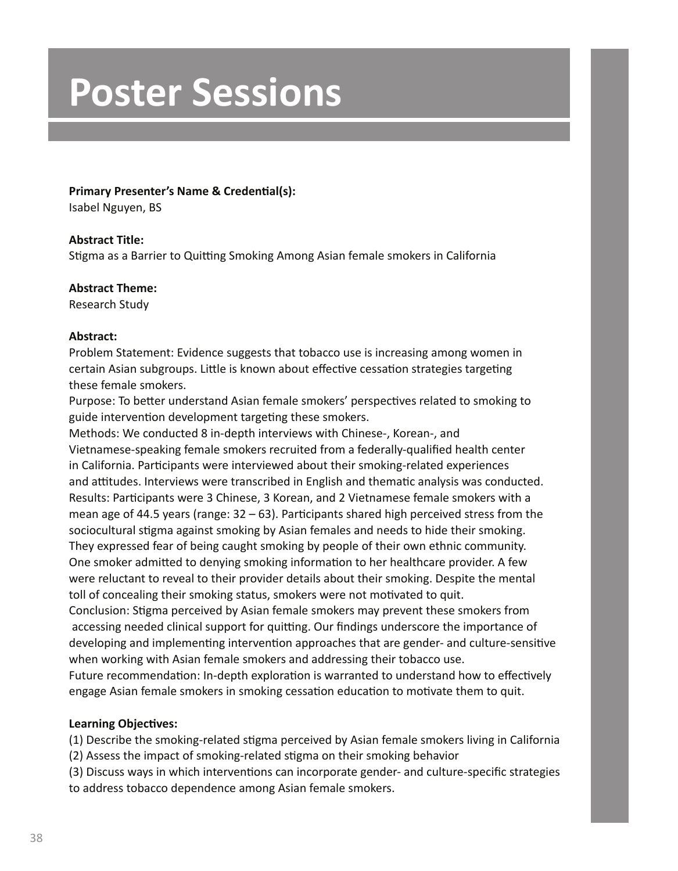### **Primary Presenter's Name & Credential(s):**

Isabel Nguyen, BS

### **Abstract Title:**

Stigma as a Barrier to Quitting Smoking Among Asian female smokers in California

### **Abstract Theme:**

Research Study

### **Abstract:**

Problem Statement: Evidence suggests that tobacco use is increasing among women in certain Asian subgroups. Little is known about effective cessation strategies targeting these female smokers.

Purpose: To better understand Asian female smokers' perspectives related to smoking to guide intervention development targeting these smokers.

Methods: We conducted 8 in-depth interviews with Chinese-, Korean-, and Vietnamese-speaking female smokers recruited from a federally-qualified health center in California. Participants were interviewed about their smoking-related experiences and attitudes. Interviews were transcribed in English and thematic analysis was conducted. Results: Participants were 3 Chinese, 3 Korean, and 2 Vietnamese female smokers with a mean age of 44.5 years (range: 32 – 63). Participants shared high perceived stress from the sociocultural stigma against smoking by Asian females and needs to hide their smoking. They expressed fear of being caught smoking by people of their own ethnic community. One smoker admitted to denying smoking information to her healthcare provider. A few were reluctant to reveal to their provider details about their smoking. Despite the mental toll of concealing their smoking status, smokers were not motivated to quit.

Conclusion: Stigma perceived by Asian female smokers may prevent these smokers from accessing needed clinical support for quitting. Our findings underscore the importance of developing and implementing intervention approaches that are gender- and culture-sensitive when working with Asian female smokers and addressing their tobacco use.

Future recommendation: In-depth exploration is warranted to understand how to effectively engage Asian female smokers in smoking cessation education to motivate them to quit.

# **Learning Objectives:**

(1) Describe the smoking-related stigma perceived by Asian female smokers living in California (2) Assess the impact of smoking-related stigma on their smoking behavior

(3) Discuss ways in which interventions can incorporate gender- and culture-specific strategies to address tobacco dependence among Asian female smokers.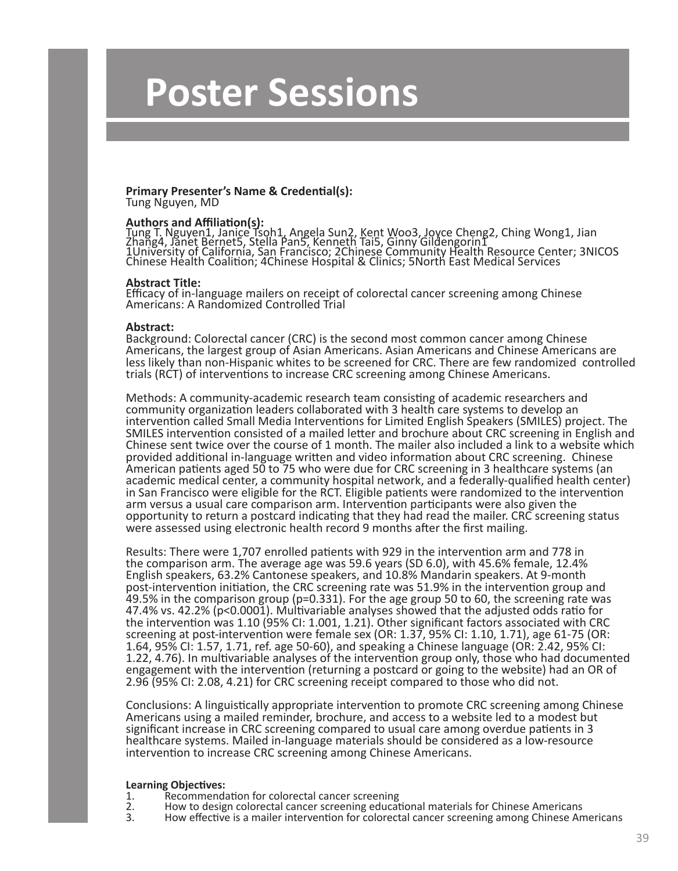# **Primary Presenter's Name & Credential(s):**

Tung Nguyen, MD

# **Authors and Affiliation(s):**

Tung T. Nguyen1, Janice Tsoh1, Angela Sun2, Kent Woo3, Joyce Cheng2, Ching Wong1, Jian Zhang4, Janet Bernet5, Stella Pan5, Kenneth Tai5, Ginny Gildengorin1 1University of California, San Francisco; 2Chinese Community Health Resource Center; 3NICOS Chinese Health Coalition; 4Chinese Hospital & Clinics; 5North East Medical Services

#### **Abstract Title:**

Efficacy of in-language mailers on receipt of colorectal cancer screening among Chinese Americans: A Randomized Controlled Trial

#### **Abstract:**

Background: Colorectal cancer (CRC) is the second most common cancer among Chinese Americans, the largest group of Asian Americans. Asian Americans and Chinese Americans are less likely than non-Hispanic whites to be screened for CRC. There are few randomized controlled trials (RCT) of interventions to increase CRC screening among Chinese Americans.

Methods: A community-academic research team consisting of academic researchers and community organization leaders collaborated with 3 health care systems to develop an intervention called Small Media Interventions for Limited English Speakers (SMILES) project. The SMILES intervention consisted of a mailed letter and brochure about CRC screening in English and Chinese sent twice over the course of 1 month. The mailer also included a link to a website which provided additional in-language written and video information about CRC screening. Chinese American patients aged 50 to 75 who were due for CRC screening in 3 healthcare systems (an academic medical center, a community hospital network, and a federally-qualified health center) in San Francisco were eligible for the RCT. Eligible patients were randomized to the intervention arm versus a usual care comparison arm. Intervention participants were also given the opportunity to return a postcard indicating that they had read the mailer. CRC screening status were assessed using electronic health record 9 months after the first mailing.

Results: There were 1,707 enrolled patients with 929 in the intervention arm and 778 in the comparison arm. The average age was 59.6 years (SD 6.0), with 45.6% female, 12.4% English speakers, 63.2% Cantonese speakers, and 10.8% Mandarin speakers. At 9-month post-intervention initiation, the CRC screening rate was 51.9% in the intervention group and 49.5% in the comparison group (p=0.331). For the age group 50 to 60, the screening rate was 47.4% vs. 42.2% (p<0.0001). Multivariable analyses showed that the adjusted odds ratio for the intervention was 1.10 (95% CI: 1.001, 1.21). Other significant factors associated with CRC screening at post-intervention were female sex (OR: 1.37, 95% CI: 1.10, 1.71), age 61-75 (OR: 1.64, 95% CI: 1.57, 1.71, ref. age 50-60), and speaking a Chinese language (OR: 2.42, 95% CI: 1.22, 4.76). In multivariable analyses of the intervention group only, those who had documented engagement with the intervention (returning a postcard or going to the website) had an OR of 2.96 (95% CI: 2.08, 4.21) for CRC screening receipt compared to those who did not.

Conclusions: A linguistically appropriate intervention to promote CRC screening among Chinese Americans using a mailed reminder, brochure, and access to a website led to a modest but significant increase in CRC screening compared to usual care among overdue patients in 3 healthcare systems. Mailed in-language materials should be considered as a low-resource intervention to increase CRC screening among Chinese Americans.

- 1. Recommendation for colorectal cancer screening<br>2. How to design colorectal cancer screening educat
- 2. How to design colorectal cancer screening educational materials for Chinese Americans<br>3. How effective is a mailer intervention for colorectal cancer screening among Chinese An
	- 3. How effective is a mailer intervention for colorectal cancer screening among Chinese Americans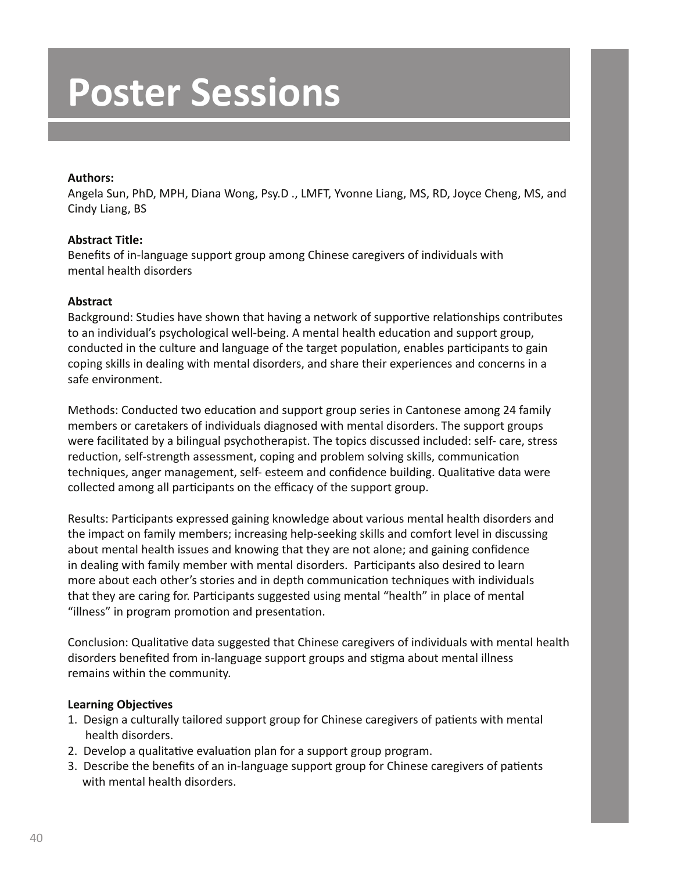# **Authors:**

Angela Sun, PhD, MPH, Diana Wong, Psy.D ., LMFT, Yvonne Liang, MS, RD, Joyce Cheng, MS, and Cindy Liang, BS

# **Abstract Title:**

Benefits of in-language support group among Chinese caregivers of individuals with mental health disorders

# **Abstract**

Background: Studies have shown that having a network of supportive relationships contributes to an individual's psychological well-being. A mental health education and support group, conducted in the culture and language of the target population, enables participants to gain coping skills in dealing with mental disorders, and share their experiences and concerns in a safe environment.

Methods: Conducted two education and support group series in Cantonese among 24 family members or caretakers of individuals diagnosed with mental disorders. The support groups were facilitated by a bilingual psychotherapist. The topics discussed included: self- care, stress reduction, self-strength assessment, coping and problem solving skills, communication techniques, anger management, self- esteem and confidence building. Qualitative data were collected among all participants on the efficacy of the support group.

Results: Participants expressed gaining knowledge about various mental health disorders and the impact on family members; increasing help-seeking skills and comfort level in discussing about mental health issues and knowing that they are not alone; and gaining confidence in dealing with family member with mental disorders. Participants also desired to learn more about each other's stories and in depth communication techniques with individuals that they are caring for. Participants suggested using mental "health" in place of mental "illness" in program promotion and presentation.

Conclusion: Qualitative data suggested that Chinese caregivers of individuals with mental health disorders benefited from in-language support groups and stigma about mental illness remains within the community.

- 1. Design a culturally tailored support group for Chinese caregivers of patients with mental health disorders.
- 2. Develop a qualitative evaluation plan for a support group program.
- 3. Describe the benefits of an in-language support group for Chinese caregivers of patients with mental health disorders.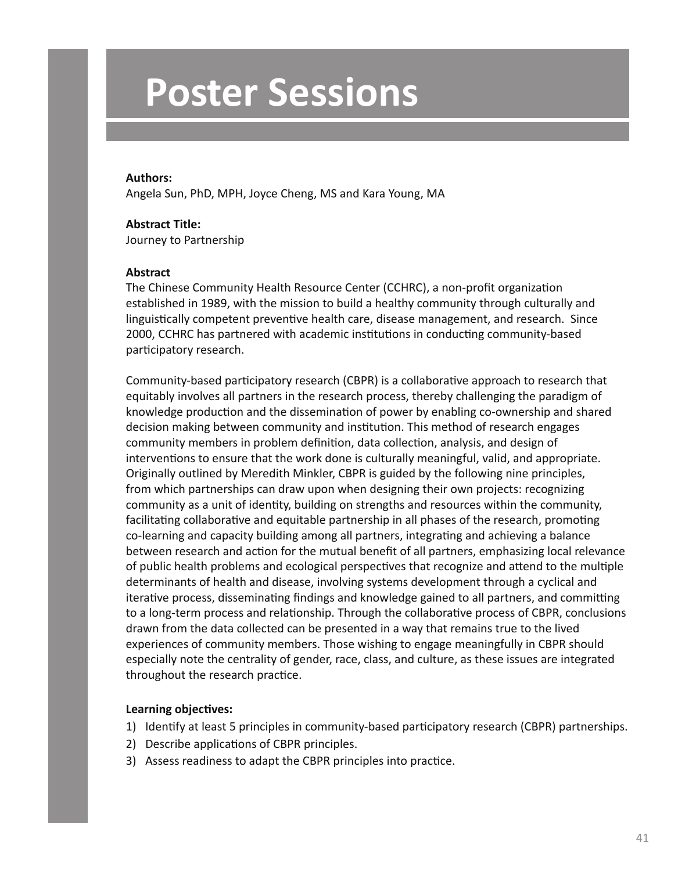#### **Authors:**

Angela Sun, PhD, MPH, Joyce Cheng, MS and Kara Young, MA

#### **Abstract Title:**

Journey to Partnership

#### **Abstract**

The Chinese Community Health Resource Center (CCHRC), a non-profit organization established in 1989, with the mission to build a healthy community through culturally and linguistically competent preventive health care, disease management, and research. Since 2000, CCHRC has partnered with academic institutions in conducting community-based participatory research.

Community-based participatory research (CBPR) is a collaborative approach to research that equitably involves all partners in the research process, thereby challenging the paradigm of knowledge production and the dissemination of power by enabling co-ownership and shared decision making between community and institution. This method of research engages community members in problem definition, data collection, analysis, and design of interventions to ensure that the work done is culturally meaningful, valid, and appropriate. Originally outlined by Meredith Minkler, CBPR is guided by the following nine principles, from which partnerships can draw upon when designing their own projects: recognizing community as a unit of identity, building on strengths and resources within the community, facilitating collaborative and equitable partnership in all phases of the research, promoting co-learning and capacity building among all partners, integrating and achieving a balance between research and action for the mutual benefit of all partners, emphasizing local relevance of public health problems and ecological perspectives that recognize and attend to the multiple determinants of health and disease, involving systems development through a cyclical and iterative process, disseminating findings and knowledge gained to all partners, and committing to a long-term process and relationship. Through the collaborative process of CBPR, conclusions drawn from the data collected can be presented in a way that remains true to the lived experiences of community members. Those wishing to engage meaningfully in CBPR should especially note the centrality of gender, race, class, and culture, as these issues are integrated throughout the research practice.

- 1) Identify at least 5 principles in community-based participatory research (CBPR) partnerships.
- 2) Describe applications of CBPR principles.
- 3) Assess readiness to adapt the CBPR principles into practice.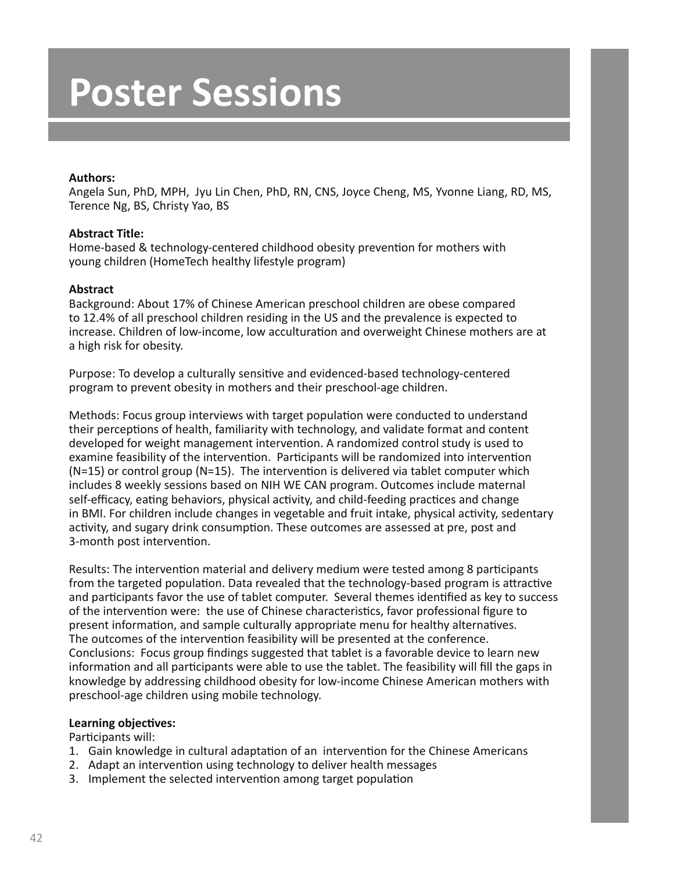### **Authors:**

Angela Sun, PhD, MPH, Jyu Lin Chen, PhD, RN, CNS, Joyce Cheng, MS, Yvonne Liang, RD, MS, Terence Ng, BS, Christy Yao, BS

### **Abstract Title:**

Home-based & technology-centered childhood obesity prevention for mothers with young children (HomeTech healthy lifestyle program)

# **Abstract**

Background: About 17% of Chinese American preschool children are obese compared to 12.4% of all preschool children residing in the US and the prevalence is expected to increase. Children of low-income, low acculturation and overweight Chinese mothers are at a high risk for obesity.

Purpose: To develop a culturally sensitive and evidenced-based technology-centered program to prevent obesity in mothers and their preschool-age children.

Methods: Focus group interviews with target population were conducted to understand their perceptions of health, familiarity with technology, and validate format and content developed for weight management intervention. A randomized control study is used to examine feasibility of the intervention. Participants will be randomized into intervention (N=15) or control group (N=15). The intervention is delivered via tablet computer which includes 8 weekly sessions based on NIH WE CAN program. Outcomes include maternal self-efficacy, eating behaviors, physical activity, and child-feeding practices and change in BMI. For children include changes in vegetable and fruit intake, physical activity, sedentary activity, and sugary drink consumption. These outcomes are assessed at pre, post and 3-month post intervention.

Results: The intervention material and delivery medium were tested among 8 participants from the targeted population. Data revealed that the technology-based program is attractive and participants favor the use of tablet computer. Several themes identified as key to success of the intervention were: the use of Chinese characteristics, favor professional figure to present information, and sample culturally appropriate menu for healthy alternatives. The outcomes of the intervention feasibility will be presented at the conference. Conclusions: Focus group findings suggested that tablet is a favorable device to learn new information and all participants were able to use the tablet. The feasibility will fill the gaps in knowledge by addressing childhood obesity for low-income Chinese American mothers with preschool-age children using mobile technology.

#### **Learning objectives:**

#### Participants will:

- 1. Gain knowledge in cultural adaptation of an intervention for the Chinese Americans
- 2. Adapt an intervention using technology to deliver health messages
- 3. Implement the selected intervention among target population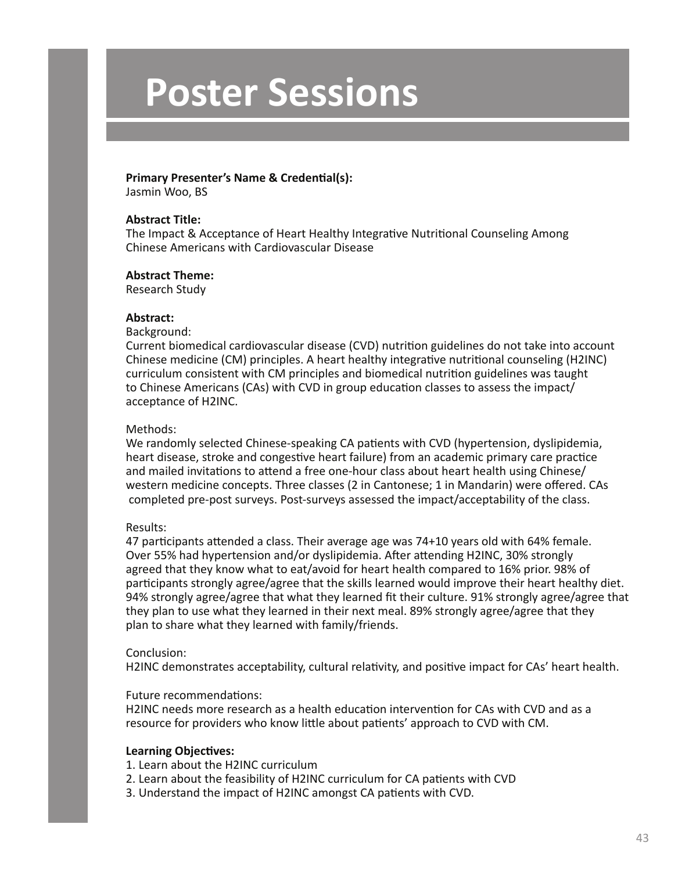#### **Primary Presenter's Name & Credential(s):**

Jasmin Woo, BS

#### **Abstract Title:**

The Impact & Acceptance of Heart Healthy Integrative Nutritional Counseling Among Chinese Americans with Cardiovascular Disease

### **Abstract Theme:**

Research Study

#### **Abstract:**

Background:

Current biomedical cardiovascular disease (CVD) nutrition guidelines do not take into account Chinese medicine (CM) principles. A heart healthy integrative nutritional counseling (H2INC) curriculum consistent with CM principles and biomedical nutrition guidelines was taught to Chinese Americans (CAs) with CVD in group education classes to assess the impact/ acceptance of H2INC.

### Methods:

We randomly selected Chinese-speaking CA patients with CVD (hypertension, dyslipidemia, heart disease, stroke and congestive heart failure) from an academic primary care practice and mailed invitations to attend a free one-hour class about heart health using Chinese/ western medicine concepts. Three classes (2 in Cantonese; 1 in Mandarin) were offered. CAs completed pre-post surveys. Post-surveys assessed the impact/acceptability of the class.

# Results:

47 participants attended a class. Their average age was 74+10 years old with 64% female. Over 55% had hypertension and/or dyslipidemia. After attending H2INC, 30% strongly agreed that they know what to eat/avoid for heart health compared to 16% prior. 98% of participants strongly agree/agree that the skills learned would improve their heart healthy diet. 94% strongly agree/agree that what they learned fit their culture. 91% strongly agree/agree that they plan to use what they learned in their next meal. 89% strongly agree/agree that they plan to share what they learned with family/friends.

#### Conclusion:

H2INC demonstrates acceptability, cultural relativity, and positive impact for CAs' heart health.

#### Future recommendations:

H2INC needs more research as a health education intervention for CAs with CVD and as a resource for providers who know little about patients' approach to CVD with CM.

# **Learning Objectives:**

1. Learn about the H2INC curriculum

- 2. Learn about the feasibility of H2INC curriculum for CA patients with CVD
- 3. Understand the impact of H2INC amongst CA patients with CVD.